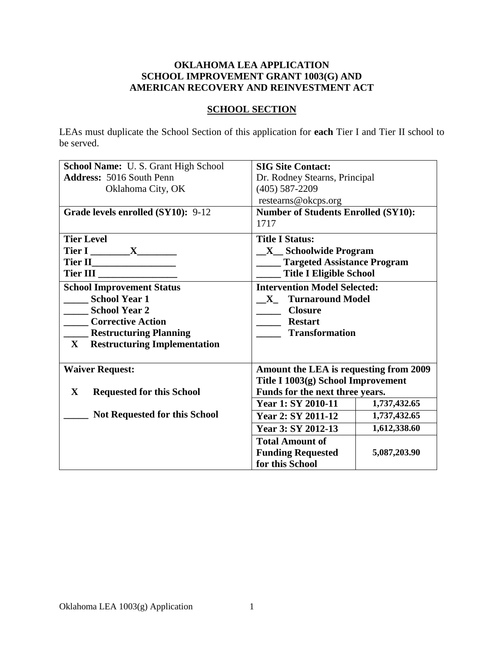## **OKLAHOMA LEA APPLICATION SCHOOL IMPROVEMENT GRANT 1003(G) AND AMERICAN RECOVERY AND REINVESTMENT ACT**

# **SCHOOL SECTION**

LEAs must duplicate the School Section of this application for **each** Tier I and Tier II school to be served.

| <b>School Name: U.S. Grant High School</b>       | <b>SIG Site Contact:</b>                   |  |  |
|--------------------------------------------------|--------------------------------------------|--|--|
| <b>Address: 5016 South Penn</b>                  | Dr. Rodney Stearns, Principal              |  |  |
| Oklahoma City, OK                                | $(405) 587 - 2209$                         |  |  |
|                                                  | restearns@okcps.org                        |  |  |
| Grade levels enrolled (SY10): 9-12               | <b>Number of Students Enrolled (SY10):</b> |  |  |
|                                                  | 1717                                       |  |  |
| <b>Tier Level</b>                                | <b>Title I Status:</b>                     |  |  |
| Tier I ________ X_________                       | <b>X</b> Schoolwide Program                |  |  |
|                                                  | <b>Targeted Assistance Program</b>         |  |  |
| Tier III                                         | <b>Title I Eligible School</b>             |  |  |
| <b>School Improvement Status</b>                 | <b>Intervention Model Selected:</b>        |  |  |
| School Year 1                                    | X Turnaround Model                         |  |  |
| School Year 2                                    | <b>Closure</b>                             |  |  |
| <b>Corrective Action</b>                         | <b>Restart</b>                             |  |  |
| <b>Example 1 Restructuring Planning</b>          | <b>Transformation</b>                      |  |  |
| X Restructuring Implementation                   |                                            |  |  |
|                                                  |                                            |  |  |
| <b>Waiver Request:</b>                           | Amount the LEA is requesting from 2009     |  |  |
|                                                  | Title I 1003(g) School Improvement         |  |  |
| $\mathbf{X}$<br><b>Requested for this School</b> | Funds for the next three years.            |  |  |
|                                                  | Year 1: SY 2010-11<br>1,737,432.65         |  |  |
| <b>Not Requested for this School</b>             | Year 2: SY 2011-12<br>1,737,432.65         |  |  |
|                                                  | 1,612,338.60<br>Year 3: SY 2012-13         |  |  |
|                                                  | <b>Total Amount of</b>                     |  |  |
|                                                  | <b>Funding Requested</b><br>5,087,203.90   |  |  |
|                                                  | for this School                            |  |  |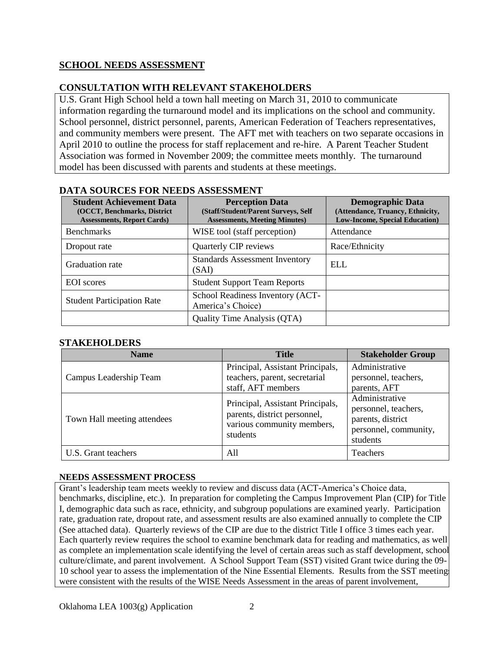# **SCHOOL NEEDS ASSESSMENT**

## **CONSULTATION WITH RELEVANT STAKEHOLDERS**

U.S. Grant High School held a town hall meeting on March 31, 2010 to communicate information regarding the turnaround model and its implications on the school and community. School personnel, district personnel, parents, American Federation of Teachers representatives, and community members were present. The AFT met with teachers on two separate occasions in April 2010 to outline the process for staff replacement and re-hire. A Parent Teacher Student Association was formed in November 2009; the committee meets monthly. The turnaround model has been discussed with parents and students at these meetings.

| <b>Student Achievement Data</b><br>(OCCT, Benchmarks, District<br><b>Assessments, Report Cards)</b> | <b>Perception Data</b><br>(Staff/Student/Parent Surveys, Self<br><b>Assessments, Meeting Minutes)</b> | <b>Demographic Data</b><br>(Attendance, Truancy, Ethnicity,<br><b>Low-Income, Special Education)</b> |
|-----------------------------------------------------------------------------------------------------|-------------------------------------------------------------------------------------------------------|------------------------------------------------------------------------------------------------------|
| <b>Benchmarks</b>                                                                                   | WISE tool (staff perception)                                                                          | Attendance                                                                                           |
| Dropout rate                                                                                        | Quarterly CIP reviews                                                                                 | Race/Ethnicity                                                                                       |
| Graduation rate                                                                                     | <b>Standards Assessment Inventory</b><br>(SAI)                                                        | ELL                                                                                                  |
| <b>EOI</b> scores                                                                                   | <b>Student Support Team Reports</b>                                                                   |                                                                                                      |
| <b>Student Participation Rate</b>                                                                   | School Readiness Inventory (ACT-<br>America's Choice)                                                 |                                                                                                      |
|                                                                                                     | Quality Time Analysis (QTA)                                                                           |                                                                                                      |

#### **DATA SOURCES FOR NEEDS ASSESSMENT**

## **STAKEHOLDERS**

| <b>Name</b>                 | <b>Title</b>                                                                                               | <b>Stakeholder Group</b>                                                                         |
|-----------------------------|------------------------------------------------------------------------------------------------------------|--------------------------------------------------------------------------------------------------|
| Campus Leadership Team      | Principal, Assistant Principals,<br>teachers, parent, secretarial<br>staff, AFT members                    | Administrative<br>personnel, teachers,<br>parents, AFT                                           |
| Town Hall meeting attendees | Principal, Assistant Principals,<br>parents, district personnel,<br>various community members,<br>students | Administrative<br>personnel, teachers,<br>parents, district<br>personnel, community,<br>students |
| U.S. Grant teachers         | All                                                                                                        | <b>Teachers</b>                                                                                  |

#### **NEEDS ASSESSMENT PROCESS**

Grant's leadership team meets weekly to review and discuss data (ACT-America's Choice data, benchmarks, discipline, etc.). In preparation for completing the Campus Improvement Plan (CIP) for Title I, demographic data such as race, ethnicity, and subgroup populations are examined yearly. Participation rate, graduation rate, dropout rate, and assessment results are also examined annually to complete the CIP (See attached data). Quarterly reviews of the CIP are due to the district Title I office 3 times each year. Each quarterly review requires the school to examine benchmark data for reading and mathematics, as well as complete an implementation scale identifying the level of certain areas such as staff development, school culture/climate, and parent involvement. A School Support Team (SST) visited Grant twice during the 09- 10 school year to assess the implementation of the Nine Essential Elements. Results from the SST meetings were consistent with the results of the WISE Needs Assessment in the areas of parent involvement,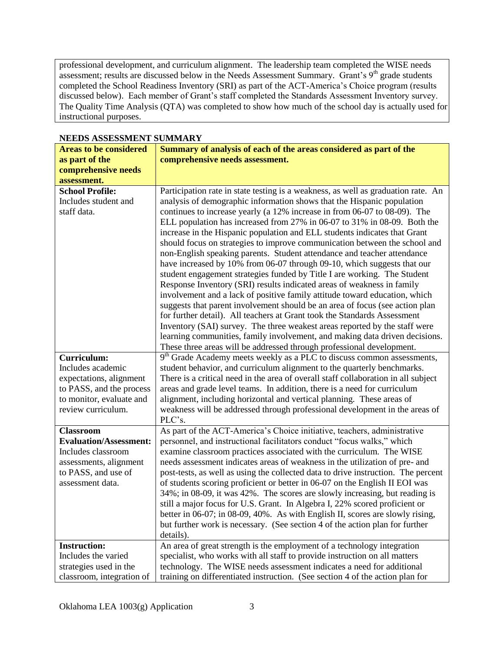professional development, and curriculum alignment. The leadership team completed the WISE needs assessment; results are discussed below in the Needs Assessment Summary. Grant's  $9<sup>th</sup>$  grade students completed the School Readiness Inventory (SRI) as part of the ACT-America's Choice program (results discussed below). Each member of Grant's staff completed the Standards Assessment Inventory survey. The Quality Time Analysis (QTA) was completed to show how much of the school day is actually used for instructional purposes.

| INLLIJƏ AƏƏLƏƏMILINI ƏUMIMAK I |                                                                                    |  |  |
|--------------------------------|------------------------------------------------------------------------------------|--|--|
| <b>Areas to be considered</b>  | Summary of analysis of each of the areas considered as part of the                 |  |  |
| as part of the                 | comprehensive needs assessment.                                                    |  |  |
| comprehensive needs            |                                                                                    |  |  |
| assessment.                    |                                                                                    |  |  |
| <b>School Profile:</b>         | Participation rate in state testing is a weakness, as well as graduation rate. An  |  |  |
| Includes student and           | analysis of demographic information shows that the Hispanic population             |  |  |
| staff data.                    | continues to increase yearly (a 12% increase in from 06-07 to 08-09). The          |  |  |
|                                | ELL population has increased from 27% in 06-07 to 31% in 08-09. Both the           |  |  |
|                                | increase in the Hispanic population and ELL students indicates that Grant          |  |  |
|                                | should focus on strategies to improve communication between the school and         |  |  |
|                                | non-English speaking parents. Student attendance and teacher attendance            |  |  |
|                                | have increased by 10% from 06-07 through 09-10, which suggests that our            |  |  |
|                                | student engagement strategies funded by Title I are working. The Student           |  |  |
|                                | Response Inventory (SRI) results indicated areas of weakness in family             |  |  |
|                                | involvement and a lack of positive family attitude toward education, which         |  |  |
|                                | suggests that parent involvement should be an area of focus (see action plan       |  |  |
|                                | for further detail). All teachers at Grant took the Standards Assessment           |  |  |
|                                | Inventory (SAI) survey. The three weakest areas reported by the staff were         |  |  |
|                                | learning communities, family involvement, and making data driven decisions.        |  |  |
|                                | These three areas will be addressed through professional development.              |  |  |
| Curriculum:                    | 9 <sup>th</sup> Grade Academy meets weekly as a PLC to discuss common assessments, |  |  |
| Includes academic              | student behavior, and curriculum alignment to the quarterly benchmarks.            |  |  |
| expectations, alignment        | There is a critical need in the area of overall staff collaboration in all subject |  |  |
| to PASS, and the process       | areas and grade level teams. In addition, there is a need for curriculum           |  |  |
| to monitor, evaluate and       | alignment, including horizontal and vertical planning. These areas of              |  |  |
| review curriculum.             | weakness will be addressed through professional development in the areas of        |  |  |
|                                | PLC's.                                                                             |  |  |
| <b>Classroom</b>               | As part of the ACT-America's Choice initiative, teachers, administrative           |  |  |
| <b>Evaluation/Assessment:</b>  | personnel, and instructional facilitators conduct "focus walks," which             |  |  |
| Includes classroom             | examine classroom practices associated with the curriculum. The WISE               |  |  |
| assessments, alignment         | needs assessment indicates areas of weakness in the utilization of pre- and        |  |  |
| to PASS, and use of            | post-tests, as well as using the collected data to drive instruction. The percent  |  |  |
| assessment data.               | of students scoring proficient or better in 06-07 on the English II EOI was        |  |  |
|                                | 34%; in 08-09, it was 42%. The scores are slowly increasing, but reading is        |  |  |
|                                | still a major focus for U.S. Grant. In Algebra I, 22% scored proficient or         |  |  |
|                                | better in 06-07; in 08-09, 40%. As with English II, scores are slowly rising,      |  |  |
|                                | but further work is necessary. (See section 4 of the action plan for further       |  |  |
|                                | details).                                                                          |  |  |
| <b>Instruction:</b>            | An area of great strength is the employment of a technology integration            |  |  |
| Includes the varied            | specialist, who works with all staff to provide instruction on all matters         |  |  |
| strategies used in the         |                                                                                    |  |  |
|                                | technology. The WISE needs assessment indicates a need for additional              |  |  |

# **NEEDS ASSESSMENT SUMMARY**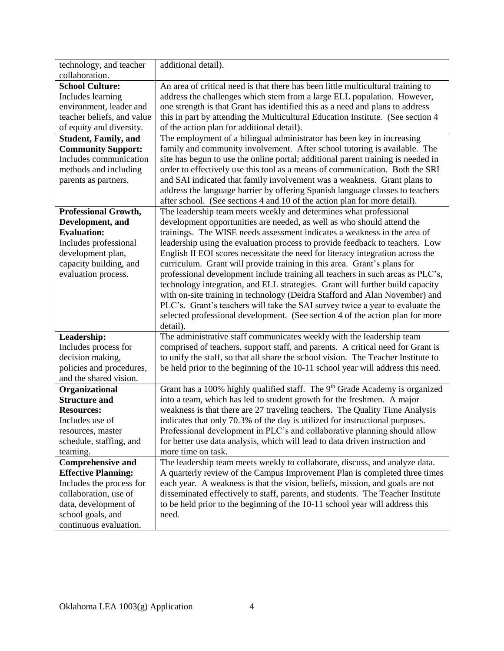| technology, and teacher                                | additional detail).                                                                     |
|--------------------------------------------------------|-----------------------------------------------------------------------------------------|
| collaboration.                                         |                                                                                         |
| <b>School Culture:</b>                                 | An area of critical need is that there has been little multicultural training to        |
| Includes learning                                      | address the challenges which stem from a large ELL population. However,                 |
| environment, leader and                                | one strength is that Grant has identified this as a need and plans to address           |
| teacher beliefs, and value                             | this in part by attending the Multicultural Education Institute. (See section 4         |
| of equity and diversity.                               | of the action plan for additional detail).                                              |
| <b>Student, Family, and</b>                            | The employment of a bilingual administrator has been key in increasing                  |
| <b>Community Support:</b>                              | family and community involvement. After school tutoring is available. The               |
| Includes communication                                 | site has begun to use the online portal; additional parent training is needed in        |
| methods and including                                  | order to effectively use this tool as a means of communication. Both the SRI            |
| parents as partners.                                   | and SAI indicated that family involvement was a weakness. Grant plans to                |
|                                                        | address the language barrier by offering Spanish language classes to teachers           |
|                                                        | after school. (See sections 4 and 10 of the action plan for more detail).               |
| <b>Professional Growth,</b>                            | The leadership team meets weekly and determines what professional                       |
| Development, and                                       | development opportunities are needed, as well as who should attend the                  |
| <b>Evaluation:</b>                                     | trainings. The WISE needs assessment indicates a weakness in the area of                |
| Includes professional                                  | leadership using the evaluation process to provide feedback to teachers. Low            |
| development plan,                                      | English II EOI scores necessitate the need for literacy integration across the          |
| capacity building, and                                 | curriculum. Grant will provide training in this area. Grant's plans for                 |
| evaluation process.                                    | professional development include training all teachers in such areas as PLC's,          |
|                                                        | technology integration, and ELL strategies. Grant will further build capacity           |
|                                                        | with on-site training in technology (Deidra Stafford and Alan November) and             |
|                                                        | PLC's. Grant's teachers will take the SAI survey twice a year to evaluate the           |
|                                                        | selected professional development. (See section 4 of the action plan for more           |
|                                                        | detail).                                                                                |
| Leadership:                                            | The administrative staff communicates weekly with the leadership team                   |
| Includes process for                                   | comprised of teachers, support staff, and parents. A critical need for Grant is         |
| decision making,                                       | to unify the staff, so that all share the school vision. The Teacher Institute to       |
| policies and procedures,                               | be held prior to the beginning of the 10-11 school year will address this need.         |
| and the shared vision.                                 |                                                                                         |
| Organizational                                         | Grant has a 100% highly qualified staff. The 9 <sup>th</sup> Grade Academy is organized |
| <b>Structure and</b>                                   | into a team, which has led to student growth for the freshmen. A major                  |
| <b>Resources:</b>                                      | weakness is that there are 27 traveling teachers. The Quality Time Analysis             |
| Includes use of                                        | indicates that only 70.3% of the day is utilized for instructional purposes.            |
| resources, master                                      | Professional development in PLC's and collaborative planning should allow               |
| schedule, staffing, and                                | for better use data analysis, which will lead to data driven instruction and            |
|                                                        | more time on task.                                                                      |
| teaming.                                               |                                                                                         |
| <b>Comprehensive and</b>                               | The leadership team meets weekly to collaborate, discuss, and analyze data.             |
| <b>Effective Planning:</b><br>Includes the process for | A quarterly review of the Campus Improvement Plan is completed three times              |
|                                                        | each year. A weakness is that the vision, beliefs, mission, and goals are not           |
| collaboration, use of                                  | disseminated effectively to staff, parents, and students. The Teacher Institute         |
| data, development of                                   | to be held prior to the beginning of the 10-11 school year will address this            |
| school goals, and                                      | need.                                                                                   |
| continuous evaluation.                                 |                                                                                         |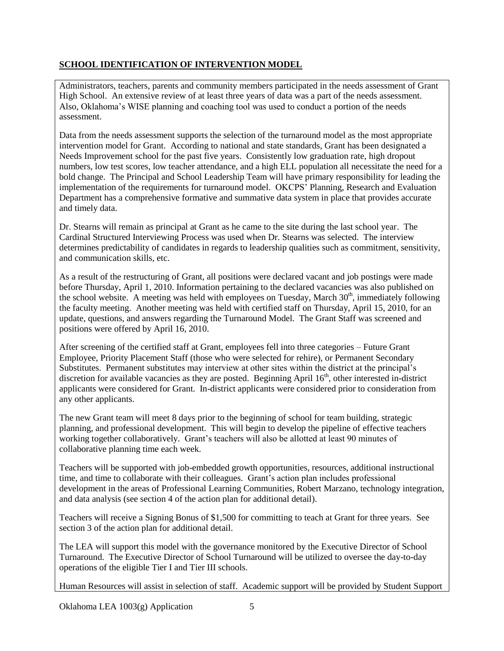## **SCHOOL IDENTIFICATION OF INTERVENTION MODEL**

Administrators, teachers, parents and community members participated in the needs assessment of Grant High School. An extensive review of at least three years of data was a part of the needs assessment. Also, Oklahoma's WISE planning and coaching tool was used to conduct a portion of the needs assessment.

Data from the needs assessment supports the selection of the turnaround model as the most appropriate intervention model for Grant. According to national and state standards, Grant has been designated a Needs Improvement school for the past five years. Consistently low graduation rate, high dropout numbers, low test scores, low teacher attendance, and a high ELL population all necessitate the need for a bold change. The Principal and School Leadership Team will have primary responsibility for leading the implementation of the requirements for turnaround model. OKCPS' Planning, Research and Evaluation Department has a comprehensive formative and summative data system in place that provides accurate and timely data.

Dr. Stearns will remain as principal at Grant as he came to the site during the last school year. The Cardinal Structured Interviewing Process was used when Dr. Stearns was selected. The interview determines predictability of candidates in regards to leadership qualities such as commitment, sensitivity, and communication skills, etc.

As a result of the restructuring of Grant, all positions were declared vacant and job postings were made before Thursday, April 1, 2010. Information pertaining to the declared vacancies was also published on the school website. A meeting was held with employees on Tuesday, March  $30<sup>th</sup>$ , immediately following the faculty meeting. Another meeting was held with certified staff on Thursday, April 15, 2010, for an update, questions, and answers regarding the Turnaround Model. The Grant Staff was screened and positions were offered by April 16, 2010.

After screening of the certified staff at Grant, employees fell into three categories – Future Grant Employee, Priority Placement Staff (those who were selected for rehire), or Permanent Secondary Substitutes. Permanent substitutes may interview at other sites within the district at the principal's discretion for available vacancies as they are posted. Beginning April  $16<sup>th</sup>$ , other interested in-district applicants were considered for Grant. In-district applicants were considered prior to consideration from any other applicants.

The new Grant team will meet 8 days prior to the beginning of school for team building, strategic planning, and professional development. This will begin to develop the pipeline of effective teachers working together collaboratively. Grant's teachers will also be allotted at least 90 minutes of collaborative planning time each week.

Teachers will be supported with job-embedded growth opportunities, resources, additional instructional time, and time to collaborate with their colleagues. Grant's action plan includes professional development in the areas of Professional Learning Communities, Robert Marzano, technology integration, and data analysis (see section 4 of the action plan for additional detail).

Teachers will receive a Signing Bonus of \$1,500 for committing to teach at Grant for three years. See section 3 of the action plan for additional detail.

The LEA will support this model with the governance monitored by the Executive Director of School Turnaround. The Executive Director of School Turnaround will be utilized to oversee the day-to-day operations of the eligible Tier I and Tier III schools.

Human Resources will assist in selection of staff. Academic support will be provided by Student Support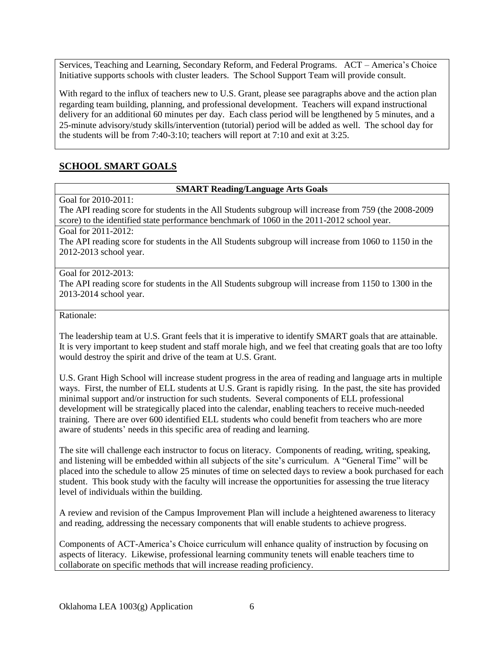Services, Teaching and Learning, Secondary Reform, and Federal Programs. ACT – America's Choice Initiative supports schools with cluster leaders. The School Support Team will provide consult.

With regard to the influx of teachers new to U.S. Grant, please see paragraphs above and the action plan regarding team building, planning, and professional development. Teachers will expand instructional delivery for an additional 60 minutes per day. Each class period will be lengthened by 5 minutes, and a 25-minute advisory/study skills/intervention (tutorial) period will be added as well. The school day for the students will be from 7:40-3:10; teachers will report at 7:10 and exit at 3:25.

# **SCHOOL SMART GOALS**

#### **SMART Reading/Language Arts Goals**

Goal for 2010-2011:

The API reading score for students in the All Students subgroup will increase from 759 (the 2008-2009 score) to the identified state performance benchmark of 1060 in the 2011-2012 school year.

Goal for 2011-2012:

The API reading score for students in the All Students subgroup will increase from 1060 to 1150 in the 2012-2013 school year.

#### Goal for 2012-2013:

The API reading score for students in the All Students subgroup will increase from 1150 to 1300 in the 2013-2014 school year.

Rationale:

The leadership team at U.S. Grant feels that it is imperative to identify SMART goals that are attainable. It is very important to keep student and staff morale high, and we feel that creating goals that are too lofty would destroy the spirit and drive of the team at U.S. Grant.

U.S. Grant High School will increase student progress in the area of reading and language arts in multiple ways. First, the number of ELL students at U.S. Grant is rapidly rising. In the past, the site has provided minimal support and/or instruction for such students. Several components of ELL professional development will be strategically placed into the calendar, enabling teachers to receive much-needed training. There are over 600 identified ELL students who could benefit from teachers who are more aware of students' needs in this specific area of reading and learning.

The site will challenge each instructor to focus on literacy. Components of reading, writing, speaking, and listening will be embedded within all subjects of the site's curriculum. A "General Time" will be placed into the schedule to allow 25 minutes of time on selected days to review a book purchased for each student. This book study with the faculty will increase the opportunities for assessing the true literacy level of individuals within the building.

A review and revision of the Campus Improvement Plan will include a heightened awareness to literacy and reading, addressing the necessary components that will enable students to achieve progress.

Components of ACT-America's Choice curriculum will enhance quality of instruction by focusing on aspects of literacy. Likewise, professional learning community tenets will enable teachers time to collaborate on specific methods that will increase reading proficiency.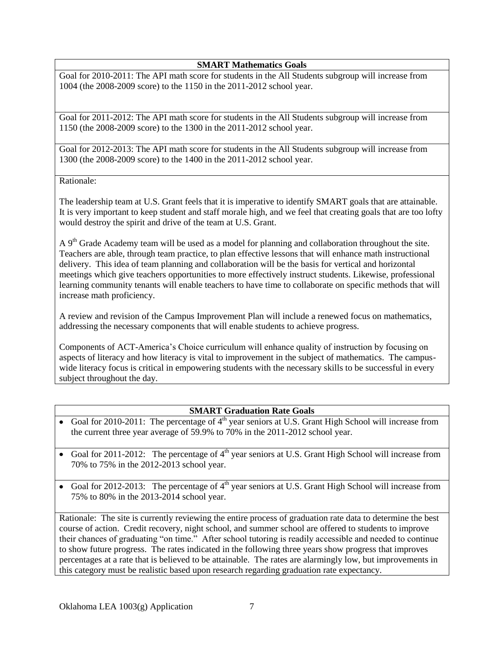**SMART Mathematics Goals**

Goal for 2010-2011: The API math score for students in the All Students subgroup will increase from 1004 (the 2008-2009 score) to the 1150 in the 2011-2012 school year.

Goal for 2011-2012: The API math score for students in the All Students subgroup will increase from 1150 (the 2008-2009 score) to the 1300 in the 2011-2012 school year.

Goal for 2012-2013: The API math score for students in the All Students subgroup will increase from 1300 (the 2008-2009 score) to the 1400 in the 2011-2012 school year.

#### Rationale:

The leadership team at U.S. Grant feels that it is imperative to identify SMART goals that are attainable. It is very important to keep student and staff morale high, and we feel that creating goals that are too lofty would destroy the spirit and drive of the team at U.S. Grant.

A  $9<sup>th</sup>$  Grade Academy team will be used as a model for planning and collaboration throughout the site. Teachers are able, through team practice, to plan effective lessons that will enhance math instructional delivery. This idea of team planning and collaboration will be the basis for vertical and horizontal meetings which give teachers opportunities to more effectively instruct students. Likewise, professional learning community tenants will enable teachers to have time to collaborate on specific methods that will increase math proficiency.

A review and revision of the Campus Improvement Plan will include a renewed focus on mathematics, addressing the necessary components that will enable students to achieve progress.

Components of ACT-America's Choice curriculum will enhance quality of instruction by focusing on aspects of literacy and how literacy is vital to improvement in the subject of mathematics. The campuswide literacy focus is critical in empowering students with the necessary skills to be successful in every subject throughout the day.

#### **SMART Graduation Rate Goals**

- Goal for 2010-2011: The percentage of  $4<sup>th</sup>$  year seniors at U.S. Grant High School will increase from the current three year average of 59.9% to 70% in the 2011-2012 school year.
- Goal for 2011-2012: The percentage of  $4<sup>th</sup>$  year seniors at U.S. Grant High School will increase from 70% to 75% in the 2012-2013 school year.
- Goal for 2012-2013: The percentage of  $4<sup>th</sup>$  year seniors at U.S. Grant High School will increase from 75% to 80% in the 2013-2014 school year.

Rationale: The site is currently reviewing the entire process of graduation rate data to determine the best course of action. Credit recovery, night school, and summer school are offered to students to improve their chances of graduating "on time." After school tutoring is readily accessible and needed to continue to show future progress. The rates indicated in the following three years show progress that improves percentages at a rate that is believed to be attainable. The rates are alarmingly low, but improvements in this category must be realistic based upon research regarding graduation rate expectancy.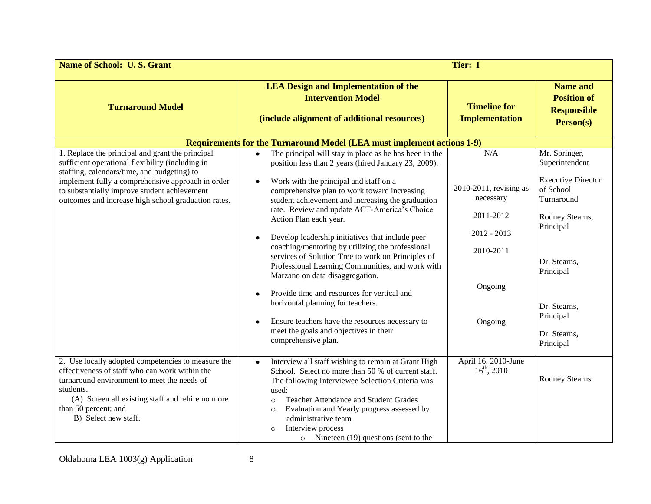| <b>Name of School: U.S. Grant</b>                                                                                                                                                                                                                                                                               | Tier: I                                                                                                                                                                                                                                                                                                                                                                                                                                                                                                                                                                                                                                                                                                                                                                                                           |                                                                                                             |                                                                                                                                                                                                                |
|-----------------------------------------------------------------------------------------------------------------------------------------------------------------------------------------------------------------------------------------------------------------------------------------------------------------|-------------------------------------------------------------------------------------------------------------------------------------------------------------------------------------------------------------------------------------------------------------------------------------------------------------------------------------------------------------------------------------------------------------------------------------------------------------------------------------------------------------------------------------------------------------------------------------------------------------------------------------------------------------------------------------------------------------------------------------------------------------------------------------------------------------------|-------------------------------------------------------------------------------------------------------------|----------------------------------------------------------------------------------------------------------------------------------------------------------------------------------------------------------------|
| <b>Turnaround Model</b>                                                                                                                                                                                                                                                                                         | <b>LEA Design and Implementation of the</b><br><b>Intervention Model</b><br>(include alignment of additional resources)                                                                                                                                                                                                                                                                                                                                                                                                                                                                                                                                                                                                                                                                                           | <b>Timeline for</b><br><b>Implementation</b>                                                                | <b>Name and</b><br><b>Position of</b><br><b>Responsible</b><br>Person(s)                                                                                                                                       |
|                                                                                                                                                                                                                                                                                                                 | Requirements for the Turnaround Model (LEA must implement actions 1-9)                                                                                                                                                                                                                                                                                                                                                                                                                                                                                                                                                                                                                                                                                                                                            |                                                                                                             |                                                                                                                                                                                                                |
| 1. Replace the principal and grant the principal<br>sufficient operational flexibility (including in<br>staffing, calendars/time, and budgeting) to<br>implement fully a comprehensive approach in order<br>to substantially improve student achievement<br>outcomes and increase high school graduation rates. | The principal will stay in place as he has been in the<br>$\bullet$<br>position less than 2 years (hired January 23, 2009).<br>Work with the principal and staff on a<br>comprehensive plan to work toward increasing<br>student achievement and increasing the graduation<br>rate. Review and update ACT-America's Choice<br>Action Plan each year.<br>Develop leadership initiatives that include peer<br>coaching/mentoring by utilizing the professional<br>services of Solution Tree to work on Principles of<br>Professional Learning Communities, and work with<br>Marzano on data disaggregation.<br>Provide time and resources for vertical and<br>horizontal planning for teachers.<br>Ensure teachers have the resources necessary to<br>meet the goals and objectives in their<br>comprehensive plan. | N/A<br>2010-2011, revising as<br>necessary<br>2011-2012<br>$2012 - 2013$<br>2010-2011<br>Ongoing<br>Ongoing | Mr. Springer,<br>Superintendent<br><b>Executive Director</b><br>of School<br>Turnaround<br>Rodney Stearns,<br>Principal<br>Dr. Stearns,<br>Principal<br>Dr. Stearns,<br>Principal<br>Dr. Stearns,<br>Principal |
| 2. Use locally adopted competencies to measure the<br>effectiveness of staff who can work within the<br>turnaround environment to meet the needs of<br>students.<br>(A) Screen all existing staff and rehire no more<br>than 50 percent; and<br>B) Select new staff.                                            | Interview all staff wishing to remain at Grant High<br>$\bullet$<br>School. Select no more than 50 % of current staff.<br>The following Interviewee Selection Criteria was<br>used:<br><b>Teacher Attendance and Student Grades</b><br>$\circ$<br>Evaluation and Yearly progress assessed by<br>$\circ$<br>administrative team<br>Interview process<br>$\circ$<br>o Nineteen $(19)$ questions (sent to the                                                                                                                                                                                                                                                                                                                                                                                                        | April 16, 2010-June<br>$16^{th}$ , 2010                                                                     | <b>Rodney Stearns</b>                                                                                                                                                                                          |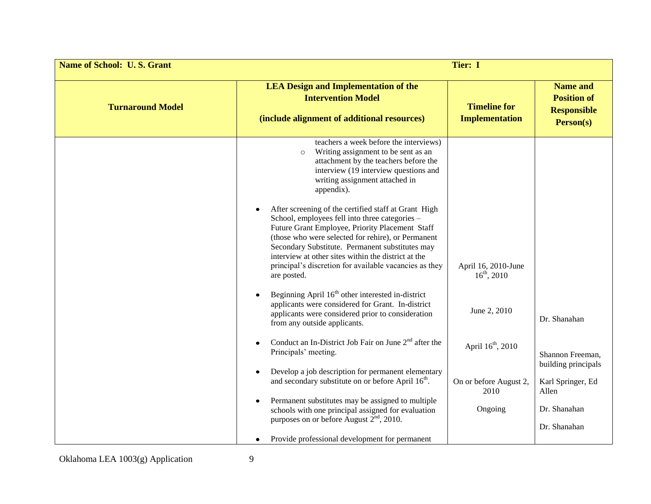| <b>Name of School: U.S. Grant</b> | Tier: I                                                                                                                                                                                                                                                                                                                                                                                            |                                              |                                                                          |
|-----------------------------------|----------------------------------------------------------------------------------------------------------------------------------------------------------------------------------------------------------------------------------------------------------------------------------------------------------------------------------------------------------------------------------------------------|----------------------------------------------|--------------------------------------------------------------------------|
| <b>Turnaround Model</b>           | <b>LEA Design and Implementation of the</b><br><b>Intervention Model</b><br>(include alignment of additional resources)                                                                                                                                                                                                                                                                            | <b>Timeline for</b><br><b>Implementation</b> | <b>Name and</b><br><b>Position of</b><br><b>Responsible</b><br>Person(s) |
|                                   | teachers a week before the interviews)<br>Writing assignment to be sent as an<br>$\circ$<br>attachment by the teachers before the<br>interview (19 interview questions and<br>writing assignment attached in<br>appendix).                                                                                                                                                                         |                                              |                                                                          |
|                                   | After screening of the certified staff at Grant High<br>School, employees fell into three categories –<br>Future Grant Employee, Priority Placement Staff<br>(those who were selected for rehire), or Permanent<br>Secondary Substitute. Permanent substitutes may<br>interview at other sites within the district at the<br>principal's discretion for available vacancies as they<br>are posted. | April 16, 2010-June<br>$16^{th}$ , 2010      |                                                                          |
|                                   | Beginning April 16 <sup>th</sup> other interested in-district<br>applicants were considered for Grant. In-district<br>applicants were considered prior to consideration<br>from any outside applicants.                                                                                                                                                                                            | June 2, 2010                                 | Dr. Shanahan                                                             |
|                                   | Conduct an In-District Job Fair on June $2nd$ after the<br>Principals' meeting.                                                                                                                                                                                                                                                                                                                    | April 16 <sup>th</sup> , 2010                | Shannon Freeman,<br>building principals                                  |
|                                   | Develop a job description for permanent elementary<br>and secondary substitute on or before April 16 <sup>th</sup> .                                                                                                                                                                                                                                                                               | On or before August 2,<br>2010               | Karl Springer, Ed<br>Allen                                               |
|                                   | Permanent substitutes may be assigned to multiple<br>schools with one principal assigned for evaluation<br>purposes on or before August 2 <sup>nd</sup> , 2010.                                                                                                                                                                                                                                    | Ongoing                                      | Dr. Shanahan<br>Dr. Shanahan                                             |
|                                   | Provide professional development for permanent                                                                                                                                                                                                                                                                                                                                                     |                                              |                                                                          |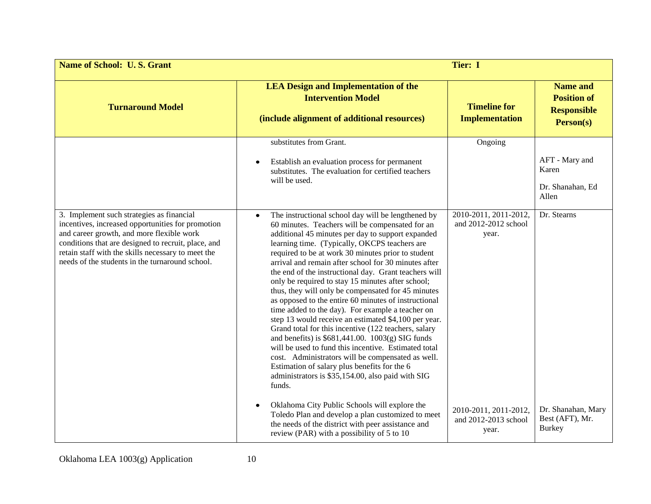| <b>Name of School: U.S. Grant</b>                                                                                                                                                                                                                                                                           | Tier: I                                                                                                                                                                                                                                                                                                                                                                                                                                                                                                                                                                                                                                                                                                                                                                                                                                                                                                                                                                                                                    |                                                        |                                                                          |
|-------------------------------------------------------------------------------------------------------------------------------------------------------------------------------------------------------------------------------------------------------------------------------------------------------------|----------------------------------------------------------------------------------------------------------------------------------------------------------------------------------------------------------------------------------------------------------------------------------------------------------------------------------------------------------------------------------------------------------------------------------------------------------------------------------------------------------------------------------------------------------------------------------------------------------------------------------------------------------------------------------------------------------------------------------------------------------------------------------------------------------------------------------------------------------------------------------------------------------------------------------------------------------------------------------------------------------------------------|--------------------------------------------------------|--------------------------------------------------------------------------|
| <b>Turnaround Model</b>                                                                                                                                                                                                                                                                                     | <b>LEA Design and Implementation of the</b><br><b>Intervention Model</b><br>(include alignment of additional resources)                                                                                                                                                                                                                                                                                                                                                                                                                                                                                                                                                                                                                                                                                                                                                                                                                                                                                                    | <b>Timeline for</b><br><b>Implementation</b>           | <b>Name and</b><br><b>Position of</b><br><b>Responsible</b><br>Person(s) |
|                                                                                                                                                                                                                                                                                                             | substitutes from Grant.<br>Establish an evaluation process for permanent<br>substitutes. The evaluation for certified teachers<br>will be used.                                                                                                                                                                                                                                                                                                                                                                                                                                                                                                                                                                                                                                                                                                                                                                                                                                                                            | Ongoing                                                | AFT - Mary and<br>Karen<br>Dr. Shanahan, Ed<br>Allen                     |
| 3. Implement such strategies as financial<br>incentives, increased opportunities for promotion<br>and career growth, and more flexible work<br>conditions that are designed to recruit, place, and<br>retain staff with the skills necessary to meet the<br>needs of the students in the turnaround school. | The instructional school day will be lengthened by<br>$\bullet$<br>60 minutes. Teachers will be compensated for an<br>additional 45 minutes per day to support expanded<br>learning time. (Typically, OKCPS teachers are<br>required to be at work 30 minutes prior to student<br>arrival and remain after school for 30 minutes after<br>the end of the instructional day. Grant teachers will<br>only be required to stay 15 minutes after school;<br>thus, they will only be compensated for 45 minutes<br>as opposed to the entire 60 minutes of instructional<br>time added to the day). For example a teacher on<br>step 13 would receive an estimated \$4,100 per year.<br>Grand total for this incentive (122 teachers, salary<br>and benefits) is $$681,441.00$ . $1003(g)$ SIG funds<br>will be used to fund this incentive. Estimated total<br>cost. Administrators will be compensated as well.<br>Estimation of salary plus benefits for the 6<br>administrators is \$35,154.00, also paid with SIG<br>funds. | 2010-2011, 2011-2012,<br>and 2012-2012 school<br>year. | Dr. Stearns                                                              |
|                                                                                                                                                                                                                                                                                                             | Oklahoma City Public Schools will explore the<br>Toledo Plan and develop a plan customized to meet<br>the needs of the district with peer assistance and<br>review (PAR) with a possibility of 5 to 10                                                                                                                                                                                                                                                                                                                                                                                                                                                                                                                                                                                                                                                                                                                                                                                                                     | 2010-2011, 2011-2012,<br>and 2012-2013 school<br>year. | Dr. Shanahan, Mary<br>Best (AFT), Mr.<br><b>Burkey</b>                   |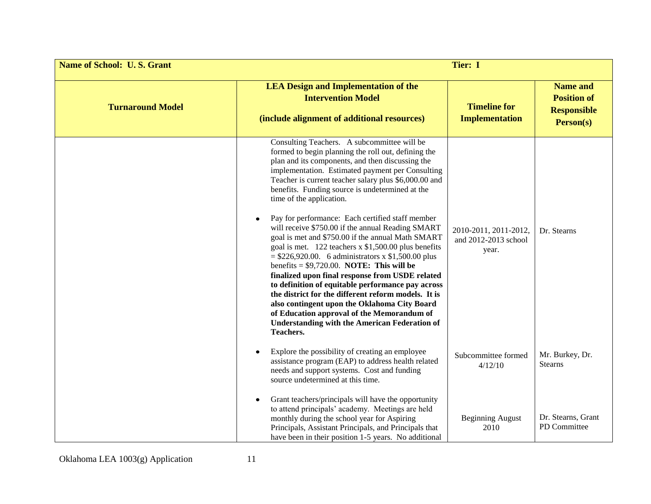| <b>Name of School: U.S. Grant</b> | Tier: I                                                                                                                                                                                                                                                                                                                                                                                                                                                                                                                                                                                                                                                                                                                                                                                                                                                                                                                                                                                                                  |                                                        |                                                                          |
|-----------------------------------|--------------------------------------------------------------------------------------------------------------------------------------------------------------------------------------------------------------------------------------------------------------------------------------------------------------------------------------------------------------------------------------------------------------------------------------------------------------------------------------------------------------------------------------------------------------------------------------------------------------------------------------------------------------------------------------------------------------------------------------------------------------------------------------------------------------------------------------------------------------------------------------------------------------------------------------------------------------------------------------------------------------------------|--------------------------------------------------------|--------------------------------------------------------------------------|
| <b>Turnaround Model</b>           | <b>LEA Design and Implementation of the</b><br><b>Intervention Model</b><br>(include alignment of additional resources)                                                                                                                                                                                                                                                                                                                                                                                                                                                                                                                                                                                                                                                                                                                                                                                                                                                                                                  | <b>Timeline for</b><br><b>Implementation</b>           | <b>Name and</b><br><b>Position of</b><br><b>Responsible</b><br>Person(s) |
|                                   | Consulting Teachers. A subcommittee will be<br>formed to begin planning the roll out, defining the<br>plan and its components, and then discussing the<br>implementation. Estimated payment per Consulting<br>Teacher is current teacher salary plus \$6,000.00 and<br>benefits. Funding source is undetermined at the<br>time of the application.<br>Pay for performance: Each certified staff member<br>will receive \$750.00 if the annual Reading SMART<br>goal is met and \$750.00 if the annual Math SMART<br>goal is met. 122 teachers x \$1,500.00 plus benefits<br>$=$ \$226,920.00. 6 administrators x \$1,500.00 plus<br>benefits = $$9,720.00$ . NOTE: This will be<br>finalized upon final response from USDE related<br>to definition of equitable performance pay across<br>the district for the different reform models. It is<br>also contingent upon the Oklahoma City Board<br>of Education approval of the Memorandum of<br><b>Understanding with the American Federation of</b><br><b>Teachers.</b> | 2010-2011, 2011-2012,<br>and 2012-2013 school<br>year. | Dr. Stearns                                                              |
|                                   | Explore the possibility of creating an employee<br>assistance program (EAP) to address health related<br>needs and support systems. Cost and funding<br>source undetermined at this time.                                                                                                                                                                                                                                                                                                                                                                                                                                                                                                                                                                                                                                                                                                                                                                                                                                | Subcommittee formed<br>4/12/10                         | Mr. Burkey, Dr.<br><b>Stearns</b>                                        |
|                                   | Grant teachers/principals will have the opportunity<br>to attend principals' academy. Meetings are held<br>monthly during the school year for Aspiring<br>Principals, Assistant Principals, and Principals that<br>have been in their position 1-5 years. No additional                                                                                                                                                                                                                                                                                                                                                                                                                                                                                                                                                                                                                                                                                                                                                  | <b>Beginning August</b><br>2010                        | Dr. Stearns, Grant<br>PD Committee                                       |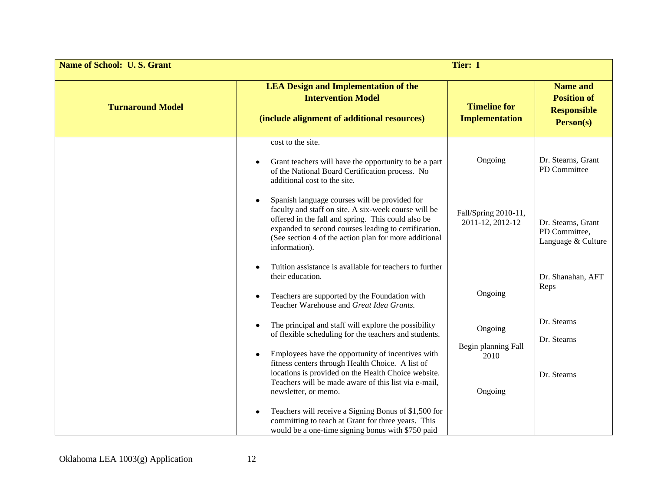| <b>Name of School: U.S. Grant</b> |                                                                                                                                                                                                                                                                                                        | Tier: I                                      |                                                                          |
|-----------------------------------|--------------------------------------------------------------------------------------------------------------------------------------------------------------------------------------------------------------------------------------------------------------------------------------------------------|----------------------------------------------|--------------------------------------------------------------------------|
| <b>Turnaround Model</b>           | <b>LEA Design and Implementation of the</b><br><b>Intervention Model</b><br>(include alignment of additional resources)                                                                                                                                                                                | <b>Timeline for</b><br><b>Implementation</b> | <b>Name and</b><br><b>Position of</b><br><b>Responsible</b><br>Person(s) |
|                                   | cost to the site.<br>Grant teachers will have the opportunity to be a part<br>$\bullet$<br>of the National Board Certification process. No<br>additional cost to the site.                                                                                                                             | Ongoing                                      | Dr. Stearns, Grant<br>PD Committee                                       |
|                                   | Spanish language courses will be provided for<br>faculty and staff on site. A six-week course will be<br>offered in the fall and spring. This could also be<br>expanded to second courses leading to certification.<br>(See section 4 of the action plan for more additional<br>information).          | Fall/Spring 2010-11,<br>2011-12, 2012-12     | Dr. Stearns, Grant<br>PD Committee,<br>Language & Culture                |
|                                   | Tuition assistance is available for teachers to further<br>their education.<br>Teachers are supported by the Foundation with<br>Teacher Warehouse and Great Idea Grants.                                                                                                                               | Ongoing                                      | Dr. Shanahan, AFT<br>Reps                                                |
|                                   | The principal and staff will explore the possibility<br>$\bullet$<br>of flexible scheduling for the teachers and students.<br>Employees have the opportunity of incentives with<br>$\bullet$<br>fitness centers through Health Choice. A list of                                                       | Ongoing<br>Begin planning Fall<br>2010       | Dr. Stearns<br>Dr. Stearns                                               |
|                                   | locations is provided on the Health Choice website.<br>Teachers will be made aware of this list via e-mail,<br>newsletter, or memo.<br>Teachers will receive a Signing Bonus of \$1,500 for<br>committing to teach at Grant for three years. This<br>would be a one-time signing bonus with \$750 paid | Ongoing                                      | Dr. Stearns                                                              |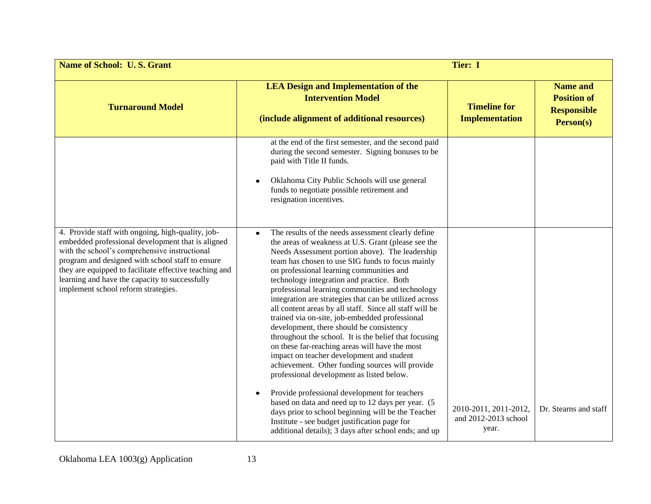| <b>Name of School: U.S. Grant</b>                                                                                                                                                                                                                                                                                                                              | Tier: I                                                                                                                                                                                                                                                                                                                                                                                                                                                                                                                                                                                                                                                                                                                                                                                                                                                                                                                                                                                                                                                                                                                     |                                                        |                                                                          |
|----------------------------------------------------------------------------------------------------------------------------------------------------------------------------------------------------------------------------------------------------------------------------------------------------------------------------------------------------------------|-----------------------------------------------------------------------------------------------------------------------------------------------------------------------------------------------------------------------------------------------------------------------------------------------------------------------------------------------------------------------------------------------------------------------------------------------------------------------------------------------------------------------------------------------------------------------------------------------------------------------------------------------------------------------------------------------------------------------------------------------------------------------------------------------------------------------------------------------------------------------------------------------------------------------------------------------------------------------------------------------------------------------------------------------------------------------------------------------------------------------------|--------------------------------------------------------|--------------------------------------------------------------------------|
| <b>Turnaround Model</b>                                                                                                                                                                                                                                                                                                                                        | <b>LEA Design and Implementation of the</b><br><b>Intervention Model</b><br>(include alignment of additional resources)                                                                                                                                                                                                                                                                                                                                                                                                                                                                                                                                                                                                                                                                                                                                                                                                                                                                                                                                                                                                     | <b>Timeline for</b><br><b>Implementation</b>           | <b>Name and</b><br><b>Position of</b><br><b>Responsible</b><br>Person(s) |
|                                                                                                                                                                                                                                                                                                                                                                | at the end of the first semester, and the second paid<br>during the second semester. Signing bonuses to be<br>paid with Title II funds.<br>Oklahoma City Public Schools will use general<br>funds to negotiate possible retirement and<br>resignation incentives.                                                                                                                                                                                                                                                                                                                                                                                                                                                                                                                                                                                                                                                                                                                                                                                                                                                           |                                                        |                                                                          |
| 4. Provide staff with ongoing, high-quality, job-<br>embedded professional development that is aligned<br>with the school's comprehensive instructional<br>program and designed with school staff to ensure<br>they are equipped to facilitate effective teaching and<br>learning and have the capacity to successfully<br>implement school reform strategies. | The results of the needs assessment clearly define<br>$\bullet$<br>the areas of weakness at U.S. Grant (please see the<br>Needs Assessment portion above). The leadership<br>team has chosen to use SIG funds to focus mainly<br>on professional learning communities and<br>technology integration and practice. Both<br>professional learning communities and technology<br>integration are strategies that can be utilized across<br>all content areas by all staff. Since all staff will be<br>trained via on-site, job-embedded professional<br>development, there should be consistency<br>throughout the school. It is the belief that focusing<br>on these far-reaching areas will have the most<br>impact on teacher development and student<br>achievement. Other funding sources will provide<br>professional development as listed below.<br>Provide professional development for teachers<br>based on data and need up to 12 days per year. (5<br>days prior to school beginning will be the Teacher<br>Institute - see budget justification page for<br>additional details); 3 days after school ends; and up | 2010-2011, 2011-2012,<br>and 2012-2013 school<br>year. | Dr. Stearns and staff                                                    |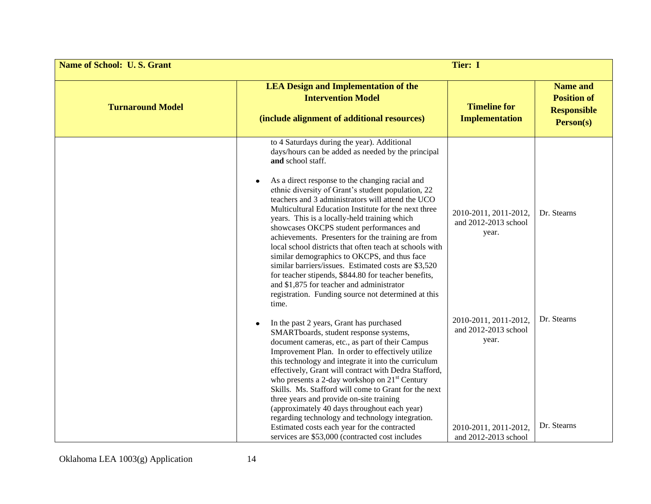| <b>Name of School: U.S. Grant</b> | Tier: I                                                                                                                                                                                                                                                                                                                                                                                                                                                                                                                                                                                                                                                                                                                                                                                                                                |                                                                                                         |                                                                          |
|-----------------------------------|----------------------------------------------------------------------------------------------------------------------------------------------------------------------------------------------------------------------------------------------------------------------------------------------------------------------------------------------------------------------------------------------------------------------------------------------------------------------------------------------------------------------------------------------------------------------------------------------------------------------------------------------------------------------------------------------------------------------------------------------------------------------------------------------------------------------------------------|---------------------------------------------------------------------------------------------------------|--------------------------------------------------------------------------|
| <b>Turnaround Model</b>           | <b>LEA Design and Implementation of the</b><br><b>Intervention Model</b><br>(include alignment of additional resources)                                                                                                                                                                                                                                                                                                                                                                                                                                                                                                                                                                                                                                                                                                                | <b>Timeline for</b><br><b>Implementation</b>                                                            | <b>Name and</b><br><b>Position of</b><br><b>Responsible</b><br>Person(s) |
|                                   | to 4 Saturdays during the year). Additional<br>days/hours can be added as needed by the principal<br>and school staff.<br>As a direct response to the changing racial and<br>ethnic diversity of Grant's student population, 22<br>teachers and 3 administrators will attend the UCO<br>Multicultural Education Institute for the next three<br>years. This is a locally-held training which<br>showcases OKCPS student performances and<br>achievements. Presenters for the training are from<br>local school districts that often teach at schools with<br>similar demographics to OKCPS, and thus face<br>similar barriers/issues. Estimated costs are \$3,520<br>for teacher stipends, \$844.80 for teacher benefits,<br>and \$1,875 for teacher and administrator<br>registration. Funding source not determined at this<br>time. | 2010-2011, 2011-2012,<br>and 2012-2013 school<br>year.                                                  | Dr. Stearns                                                              |
|                                   | In the past 2 years, Grant has purchased<br>SMARTboards, student response systems,<br>document cameras, etc., as part of their Campus<br>Improvement Plan. In order to effectively utilize<br>this technology and integrate it into the curriculum<br>effectively, Grant will contract with Dedra Stafford,<br>who presents a 2-day workshop on 21 <sup>st</sup> Century<br>Skills. Ms. Stafford will come to Grant for the next<br>three years and provide on-site training<br>(approximately 40 days throughout each year)<br>regarding technology and technology integration.<br>Estimated costs each year for the contracted<br>services are \$53,000 (contracted cost includes                                                                                                                                                    | 2010-2011, 2011-2012,<br>and 2012-2013 school<br>year.<br>2010-2011, 2011-2012,<br>and 2012-2013 school | Dr. Stearns<br>Dr. Stearns                                               |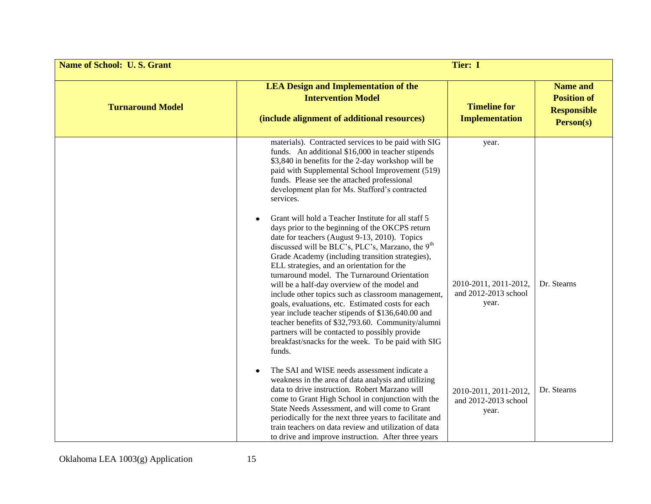| <b>Name of School: U.S. Grant</b> | <b>Tier: I</b>                                                                                                                                                                                                                                                                                                                                                                                                                                                                                                                                                                                                                                                                                                                                                   |                                                        |                                                                          |
|-----------------------------------|------------------------------------------------------------------------------------------------------------------------------------------------------------------------------------------------------------------------------------------------------------------------------------------------------------------------------------------------------------------------------------------------------------------------------------------------------------------------------------------------------------------------------------------------------------------------------------------------------------------------------------------------------------------------------------------------------------------------------------------------------------------|--------------------------------------------------------|--------------------------------------------------------------------------|
| <b>Turnaround Model</b>           | <b>LEA Design and Implementation of the</b><br><b>Intervention Model</b><br>(include alignment of additional resources)                                                                                                                                                                                                                                                                                                                                                                                                                                                                                                                                                                                                                                          | <b>Timeline for</b><br><b>Implementation</b>           | <b>Name and</b><br><b>Position of</b><br><b>Responsible</b><br>Person(s) |
|                                   | materials). Contracted services to be paid with SIG<br>funds. An additional \$16,000 in teacher stipends<br>\$3,840 in benefits for the 2-day workshop will be<br>paid with Supplemental School Improvement (519)<br>funds. Please see the attached professional<br>development plan for Ms. Stafford's contracted<br>services.                                                                                                                                                                                                                                                                                                                                                                                                                                  | year.                                                  |                                                                          |
|                                   | Grant will hold a Teacher Institute for all staff 5<br>days prior to the beginning of the OKCPS return<br>date for teachers (August 9-13, 2010). Topics<br>discussed will be BLC's, PLC's, Marzano, the 9 <sup>th</sup><br>Grade Academy (including transition strategies),<br>ELL strategies, and an orientation for the<br>turnaround model. The Turnaround Orientation<br>will be a half-day overview of the model and<br>include other topics such as classroom management,<br>goals, evaluations, etc. Estimated costs for each<br>year include teacher stipends of \$136,640.00 and<br>teacher benefits of \$32,793.60. Community/alumni<br>partners will be contacted to possibly provide<br>breakfast/snacks for the week. To be paid with SIG<br>funds. | 2010-2011, 2011-2012,<br>and 2012-2013 school<br>year. | Dr. Stearns                                                              |
|                                   | The SAI and WISE needs assessment indicate a<br>weakness in the area of data analysis and utilizing<br>data to drive instruction. Robert Marzano will<br>come to Grant High School in conjunction with the<br>State Needs Assessment, and will come to Grant<br>periodically for the next three years to facilitate and<br>train teachers on data review and utilization of data<br>to drive and improve instruction. After three years                                                                                                                                                                                                                                                                                                                          | 2010-2011, 2011-2012,<br>and 2012-2013 school<br>year. | Dr. Stearns                                                              |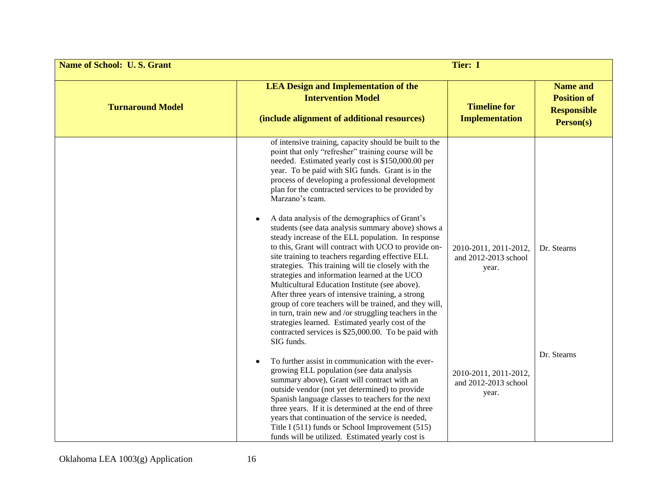| <b>Name of School: U.S. Grant</b> | Tier: I                                                                                                                                                                                                                                                                                                                                                                                                                                                                                                                                                                                                                                                                                                                                                                                                                                                                                                                                                                                                                                                                                   |                                                        |                                                                          |
|-----------------------------------|-------------------------------------------------------------------------------------------------------------------------------------------------------------------------------------------------------------------------------------------------------------------------------------------------------------------------------------------------------------------------------------------------------------------------------------------------------------------------------------------------------------------------------------------------------------------------------------------------------------------------------------------------------------------------------------------------------------------------------------------------------------------------------------------------------------------------------------------------------------------------------------------------------------------------------------------------------------------------------------------------------------------------------------------------------------------------------------------|--------------------------------------------------------|--------------------------------------------------------------------------|
| <b>Turnaround Model</b>           | <b>LEA Design and Implementation of the</b><br><b>Intervention Model</b><br>(include alignment of additional resources)                                                                                                                                                                                                                                                                                                                                                                                                                                                                                                                                                                                                                                                                                                                                                                                                                                                                                                                                                                   | <b>Timeline for</b><br><b>Implementation</b>           | <b>Name and</b><br><b>Position of</b><br><b>Responsible</b><br>Person(s) |
|                                   | of intensive training, capacity should be built to the<br>point that only "refresher" training course will be<br>needed. Estimated yearly cost is \$150,000.00 per<br>year. To be paid with SIG funds. Grant is in the<br>process of developing a professional development<br>plan for the contracted services to be provided by<br>Marzano's team.<br>A data analysis of the demographics of Grant's<br>students (see data analysis summary above) shows a<br>steady increase of the ELL population. In response<br>to this, Grant will contract with UCO to provide on-<br>site training to teachers regarding effective ELL<br>strategies. This training will tie closely with the<br>strategies and information learned at the UCO<br>Multicultural Education Institute (see above).<br>After three years of intensive training, a strong<br>group of core teachers will be trained, and they will,<br>in turn, train new and /or struggling teachers in the<br>strategies learned. Estimated yearly cost of the<br>contracted services is \$25,000.00. To be paid with<br>SIG funds. | 2010-2011, 2011-2012,<br>and 2012-2013 school<br>year. | Dr. Stearns                                                              |
|                                   | To further assist in communication with the ever-<br>growing ELL population (see data analysis<br>summary above), Grant will contract with an<br>outside vendor (not yet determined) to provide<br>Spanish language classes to teachers for the next<br>three years. If it is determined at the end of three<br>years that continuation of the service is needed,<br>Title I (511) funds or School Improvement (515)<br>funds will be utilized. Estimated yearly cost is                                                                                                                                                                                                                                                                                                                                                                                                                                                                                                                                                                                                                  | 2010-2011, 2011-2012,<br>and 2012-2013 school<br>year. | Dr. Stearns                                                              |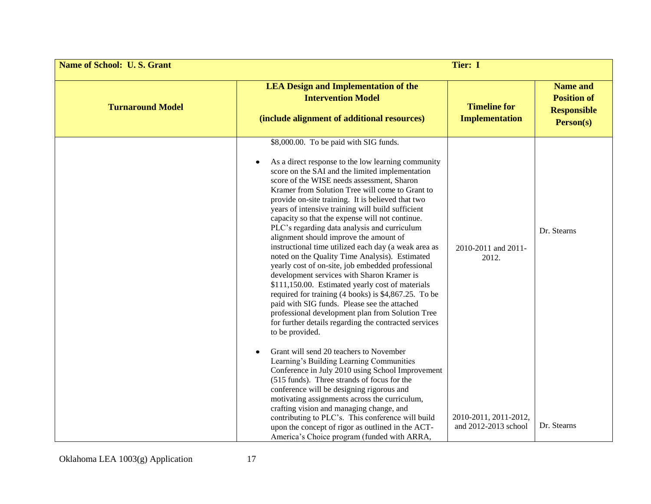| <b>Name of School: U.S. Grant</b> | Tier: I                                                                                                                                                                                                                                                                                                                                                                                                                                                                                                                                                                                                                                                                                                                                                                                                                                                                                                                                                                                                          |                                               |                                                                          |
|-----------------------------------|------------------------------------------------------------------------------------------------------------------------------------------------------------------------------------------------------------------------------------------------------------------------------------------------------------------------------------------------------------------------------------------------------------------------------------------------------------------------------------------------------------------------------------------------------------------------------------------------------------------------------------------------------------------------------------------------------------------------------------------------------------------------------------------------------------------------------------------------------------------------------------------------------------------------------------------------------------------------------------------------------------------|-----------------------------------------------|--------------------------------------------------------------------------|
| <b>Turnaround Model</b>           | <b>LEA Design and Implementation of the</b><br><b>Intervention Model</b><br>(include alignment of additional resources)                                                                                                                                                                                                                                                                                                                                                                                                                                                                                                                                                                                                                                                                                                                                                                                                                                                                                          | <b>Timeline for</b><br><b>Implementation</b>  | <b>Name and</b><br><b>Position of</b><br><b>Responsible</b><br>Person(s) |
|                                   | \$8,000.00. To be paid with SIG funds.<br>As a direct response to the low learning community<br>score on the SAI and the limited implementation<br>score of the WISE needs assessment, Sharon<br>Kramer from Solution Tree will come to Grant to<br>provide on-site training. It is believed that two<br>years of intensive training will build sufficient<br>capacity so that the expense will not continue.<br>PLC's regarding data analysis and curriculum<br>alignment should improve the amount of<br>instructional time utilized each day (a weak area as<br>noted on the Quality Time Analysis). Estimated<br>yearly cost of on-site, job embedded professional<br>development services with Sharon Kramer is<br>\$111,150.00. Estimated yearly cost of materials<br>required for training (4 books) is \$4,867.25. To be<br>paid with SIG funds. Please see the attached<br>professional development plan from Solution Tree<br>for further details regarding the contracted services<br>to be provided. | 2010-2011 and 2011-<br>2012.                  | Dr. Stearns                                                              |
|                                   | Grant will send 20 teachers to November<br>Learning's Building Learning Communities<br>Conference in July 2010 using School Improvement<br>(515 funds). Three strands of focus for the<br>conference will be designing rigorous and<br>motivating assignments across the curriculum,<br>crafting vision and managing change, and<br>contributing to PLC's. This conference will build<br>upon the concept of rigor as outlined in the ACT-<br>America's Choice program (funded with ARRA,                                                                                                                                                                                                                                                                                                                                                                                                                                                                                                                        | 2010-2011, 2011-2012,<br>and 2012-2013 school | Dr. Stearns                                                              |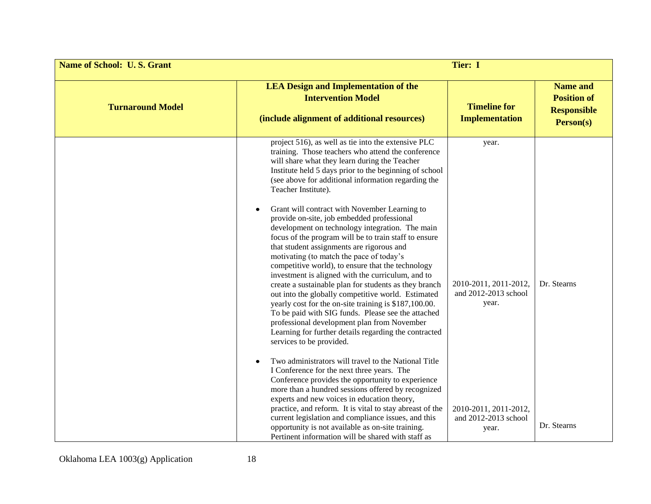| <b>Name of School: U.S. Grant</b> |                                                                                                                                                                                                                                                                                                                                                                                                                                                                                                                                                                                                                                                                                                                                                                                                                                                                                                                                                                                                                                                                                                                                            | <b>Tier: I</b>                                                  |                                                                          |
|-----------------------------------|--------------------------------------------------------------------------------------------------------------------------------------------------------------------------------------------------------------------------------------------------------------------------------------------------------------------------------------------------------------------------------------------------------------------------------------------------------------------------------------------------------------------------------------------------------------------------------------------------------------------------------------------------------------------------------------------------------------------------------------------------------------------------------------------------------------------------------------------------------------------------------------------------------------------------------------------------------------------------------------------------------------------------------------------------------------------------------------------------------------------------------------------|-----------------------------------------------------------------|--------------------------------------------------------------------------|
| <b>Turnaround Model</b>           | <b>LEA Design and Implementation of the</b><br><b>Intervention Model</b><br>(include alignment of additional resources)                                                                                                                                                                                                                                                                                                                                                                                                                                                                                                                                                                                                                                                                                                                                                                                                                                                                                                                                                                                                                    | <b>Timeline for</b><br><b>Implementation</b>                    | <b>Name and</b><br><b>Position of</b><br><b>Responsible</b><br>Person(s) |
|                                   | project 516), as well as tie into the extensive PLC<br>training. Those teachers who attend the conference<br>will share what they learn during the Teacher<br>Institute held 5 days prior to the beginning of school<br>(see above for additional information regarding the<br>Teacher Institute).<br>Grant will contract with November Learning to<br>provide on-site, job embedded professional<br>development on technology integration. The main<br>focus of the program will be to train staff to ensure<br>that student assignments are rigorous and<br>motivating (to match the pace of today's<br>competitive world), to ensure that the technology<br>investment is aligned with the curriculum, and to<br>create a sustainable plan for students as they branch<br>out into the globally competitive world. Estimated<br>yearly cost for the on-site training is \$187,100.00.<br>To be paid with SIG funds. Please see the attached<br>professional development plan from November<br>Learning for further details regarding the contracted<br>services to be provided.<br>Two administrators will travel to the National Title | year.<br>2010-2011, 2011-2012,<br>and 2012-2013 school<br>year. | Dr. Stearns                                                              |
|                                   | I Conference for the next three years. The<br>Conference provides the opportunity to experience<br>more than a hundred sessions offered by recognized<br>experts and new voices in education theory,                                                                                                                                                                                                                                                                                                                                                                                                                                                                                                                                                                                                                                                                                                                                                                                                                                                                                                                                       |                                                                 |                                                                          |
|                                   | practice, and reform. It is vital to stay abreast of the<br>current legislation and compliance issues, and this<br>opportunity is not available as on-site training.<br>Pertinent information will be shared with staff as                                                                                                                                                                                                                                                                                                                                                                                                                                                                                                                                                                                                                                                                                                                                                                                                                                                                                                                 | 2010-2011, 2011-2012,<br>and 2012-2013 school<br>year.          | Dr. Stearns                                                              |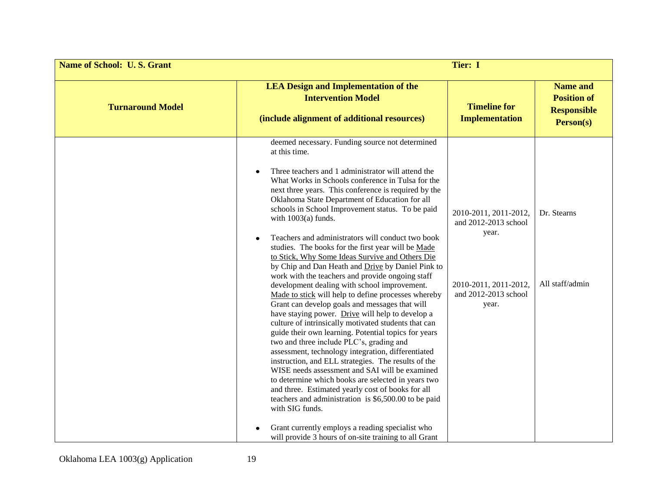| <b>Name of School: U.S. Grant</b> | Tier: I                                                                                                                                                                                                                                                                                                                                                                                                                                                                                                                                                                                                                                                                                                                                                                                                                                                                                                                                                                                                                                                                                                                                                                                                                                                                                                                                                                                                                                                                              |                                                                                                                  |                                                                          |
|-----------------------------------|--------------------------------------------------------------------------------------------------------------------------------------------------------------------------------------------------------------------------------------------------------------------------------------------------------------------------------------------------------------------------------------------------------------------------------------------------------------------------------------------------------------------------------------------------------------------------------------------------------------------------------------------------------------------------------------------------------------------------------------------------------------------------------------------------------------------------------------------------------------------------------------------------------------------------------------------------------------------------------------------------------------------------------------------------------------------------------------------------------------------------------------------------------------------------------------------------------------------------------------------------------------------------------------------------------------------------------------------------------------------------------------------------------------------------------------------------------------------------------------|------------------------------------------------------------------------------------------------------------------|--------------------------------------------------------------------------|
| <b>Turnaround Model</b>           | <b>LEA Design and Implementation of the</b><br><b>Intervention Model</b><br>(include alignment of additional resources)                                                                                                                                                                                                                                                                                                                                                                                                                                                                                                                                                                                                                                                                                                                                                                                                                                                                                                                                                                                                                                                                                                                                                                                                                                                                                                                                                              | <b>Timeline for</b><br><b>Implementation</b>                                                                     | <b>Name and</b><br><b>Position of</b><br><b>Responsible</b><br>Person(s) |
|                                   | deemed necessary. Funding source not determined<br>at this time.<br>Three teachers and 1 administrator will attend the<br>What Works in Schools conference in Tulsa for the<br>next three years. This conference is required by the<br>Oklahoma State Department of Education for all<br>schools in School Improvement status. To be paid<br>with $1003(a)$ funds.<br>Teachers and administrators will conduct two book<br>studies. The books for the first year will be Made<br>to Stick, Why Some Ideas Survive and Others Die<br>by Chip and Dan Heath and Drive by Daniel Pink to<br>work with the teachers and provide ongoing staff<br>development dealing with school improvement.<br>Made to stick will help to define processes whereby<br>Grant can develop goals and messages that will<br>have staying power. Drive will help to develop a<br>culture of intrinsically motivated students that can<br>guide their own learning. Potential topics for years<br>two and three include PLC's, grading and<br>assessment, technology integration, differentiated<br>instruction, and ELL strategies. The results of the<br>WISE needs assessment and SAI will be examined<br>to determine which books are selected in years two<br>and three. Estimated yearly cost of books for all<br>teachers and administration is \$6,500.00 to be paid<br>with SIG funds.<br>Grant currently employs a reading specialist who<br>will provide 3 hours of on-site training to all Grant | 2010-2011, 2011-2012,<br>and 2012-2013 school<br>year.<br>2010-2011, 2011-2012,<br>and 2012-2013 school<br>year. | Dr. Stearns<br>All staff/admin                                           |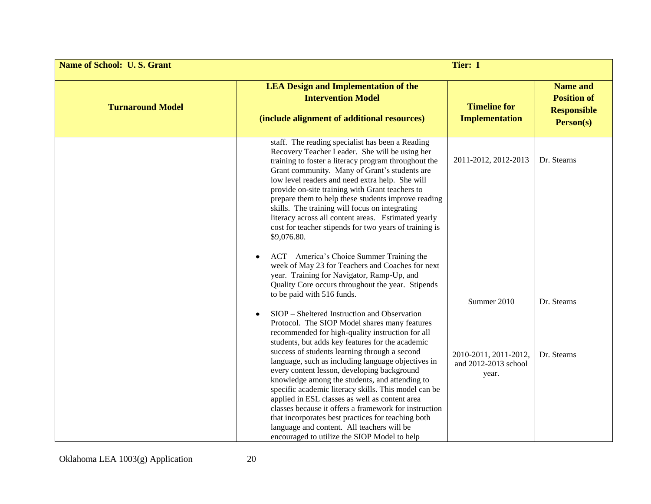| <b>Name of School: U.S. Grant</b> | Tier: I                                                                                                                                                                                                                                                                                                                                                                                                                                                                                                                                                                                                                                                                                                                                                                                                    |                                                        |                                                                          |
|-----------------------------------|------------------------------------------------------------------------------------------------------------------------------------------------------------------------------------------------------------------------------------------------------------------------------------------------------------------------------------------------------------------------------------------------------------------------------------------------------------------------------------------------------------------------------------------------------------------------------------------------------------------------------------------------------------------------------------------------------------------------------------------------------------------------------------------------------------|--------------------------------------------------------|--------------------------------------------------------------------------|
| <b>Turnaround Model</b>           | <b>LEA Design and Implementation of the</b><br><b>Intervention Model</b><br>(include alignment of additional resources)                                                                                                                                                                                                                                                                                                                                                                                                                                                                                                                                                                                                                                                                                    | <b>Timeline for</b><br><b>Implementation</b>           | <b>Name and</b><br><b>Position of</b><br><b>Responsible</b><br>Person(s) |
|                                   | staff. The reading specialist has been a Reading<br>Recovery Teacher Leader. She will be using her<br>training to foster a literacy program throughout the<br>Grant community. Many of Grant's students are<br>low level readers and need extra help. She will<br>provide on-site training with Grant teachers to<br>prepare them to help these students improve reading<br>skills. The training will focus on integrating<br>literacy across all content areas. Estimated yearly<br>cost for teacher stipends for two years of training is<br>\$9,076.80.<br>ACT – America's Choice Summer Training the<br>$\bullet$<br>week of May 23 for Teachers and Coaches for next<br>year. Training for Navigator, Ramp-Up, and<br>Quality Core occurs throughout the year. Stipends<br>to be paid with 516 funds. | 2011-2012, 2012-2013<br>Summer 2010                    | Dr. Stearns<br>Dr. Stearns                                               |
|                                   | SIOP – Sheltered Instruction and Observation<br>Protocol. The SIOP Model shares many features<br>recommended for high-quality instruction for all<br>students, but adds key features for the academic<br>success of students learning through a second<br>language, such as including language objectives in<br>every content lesson, developing background<br>knowledge among the students, and attending to<br>specific academic literacy skills. This model can be<br>applied in ESL classes as well as content area<br>classes because it offers a framework for instruction<br>that incorporates best practices for teaching both<br>language and content. All teachers will be<br>encouraged to utilize the SIOP Model to help                                                                       | 2010-2011, 2011-2012,<br>and 2012-2013 school<br>year. | Dr. Stearns                                                              |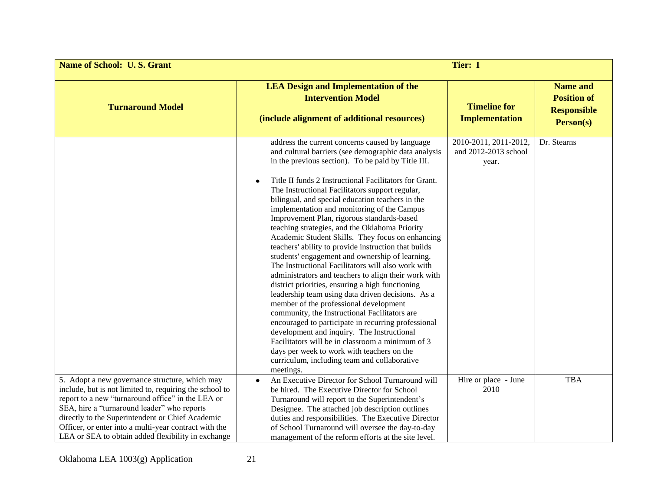| <b>Name of School: U.S. Grant</b>                                                                                                                                                                                                                                                                                                                                                |                                                                                                                                                                                                                                                                                                                                                                                                                                                                                                                                                                                                                                                                                                                                                                                                                                                                                                                                                                                                                                                                                                                                                                                                                                    | <b>Tier: I</b>                                         |                                                                          |
|----------------------------------------------------------------------------------------------------------------------------------------------------------------------------------------------------------------------------------------------------------------------------------------------------------------------------------------------------------------------------------|------------------------------------------------------------------------------------------------------------------------------------------------------------------------------------------------------------------------------------------------------------------------------------------------------------------------------------------------------------------------------------------------------------------------------------------------------------------------------------------------------------------------------------------------------------------------------------------------------------------------------------------------------------------------------------------------------------------------------------------------------------------------------------------------------------------------------------------------------------------------------------------------------------------------------------------------------------------------------------------------------------------------------------------------------------------------------------------------------------------------------------------------------------------------------------------------------------------------------------|--------------------------------------------------------|--------------------------------------------------------------------------|
| <b>Turnaround Model</b>                                                                                                                                                                                                                                                                                                                                                          | <b>LEA Design and Implementation of the</b><br><b>Intervention Model</b><br>(include alignment of additional resources)                                                                                                                                                                                                                                                                                                                                                                                                                                                                                                                                                                                                                                                                                                                                                                                                                                                                                                                                                                                                                                                                                                            | <b>Timeline for</b><br><b>Implementation</b>           | <b>Name and</b><br><b>Position of</b><br><b>Responsible</b><br>Person(s) |
|                                                                                                                                                                                                                                                                                                                                                                                  | address the current concerns caused by language<br>and cultural barriers (see demographic data analysis<br>in the previous section). To be paid by Title III.<br>Title II funds 2 Instructional Facilitators for Grant.<br>The Instructional Facilitators support regular,<br>bilingual, and special education teachers in the<br>implementation and monitoring of the Campus<br>Improvement Plan, rigorous standards-based<br>teaching strategies, and the Oklahoma Priority<br>Academic Student Skills. They focus on enhancing<br>teachers' ability to provide instruction that builds<br>students' engagement and ownership of learning.<br>The Instructional Facilitators will also work with<br>administrators and teachers to align their work with<br>district priorities, ensuring a high functioning<br>leadership team using data driven decisions. As a<br>member of the professional development<br>community, the Instructional Facilitators are<br>encouraged to participate in recurring professional<br>development and inquiry. The Instructional<br>Facilitators will be in classroom a minimum of 3<br>days per week to work with teachers on the<br>curriculum, including team and collaborative<br>meetings. | 2010-2011, 2011-2012,<br>and 2012-2013 school<br>year. | Dr. Stearns                                                              |
| 5. Adopt a new governance structure, which may<br>include, but is not limited to, requiring the school to<br>report to a new "turnaround office" in the LEA or<br>SEA, hire a "turnaround leader" who reports<br>directly to the Superintendent or Chief Academic<br>Officer, or enter into a multi-year contract with the<br>LEA or SEA to obtain added flexibility in exchange | An Executive Director for School Turnaround will<br>$\bullet$<br>be hired. The Executive Director for School<br>Turnaround will report to the Superintendent's<br>Designee. The attached job description outlines<br>duties and responsibilities. The Executive Director<br>of School Turnaround will oversee the day-to-day<br>management of the reform efforts at the site level.                                                                                                                                                                                                                                                                                                                                                                                                                                                                                                                                                                                                                                                                                                                                                                                                                                                | Hire or place - June<br>2010                           | <b>TBA</b>                                                               |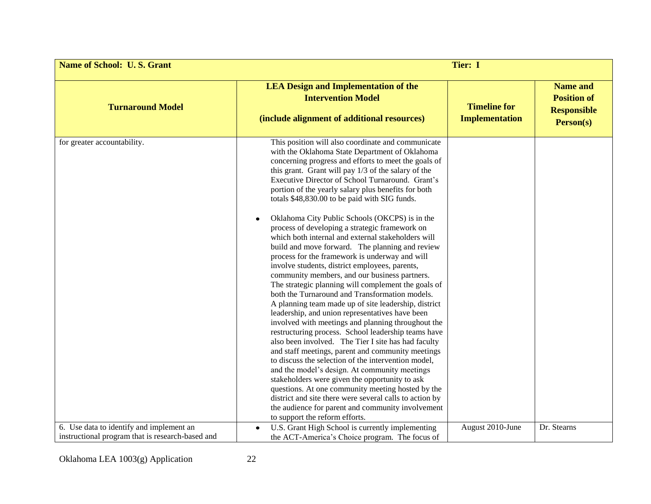| <b>Name of School: U.S. Grant</b>                                                            | Tier: I                                                                                                                                                                                                                                                                                                                                                                                                                                                                                                                                                                                                                                                                                                                                                                                                                                                                                                                                                                                                                                                                                                                                                                                                                                                                                                                                                                                                                                                                                                                                                         |                                              |                                                                          |
|----------------------------------------------------------------------------------------------|-----------------------------------------------------------------------------------------------------------------------------------------------------------------------------------------------------------------------------------------------------------------------------------------------------------------------------------------------------------------------------------------------------------------------------------------------------------------------------------------------------------------------------------------------------------------------------------------------------------------------------------------------------------------------------------------------------------------------------------------------------------------------------------------------------------------------------------------------------------------------------------------------------------------------------------------------------------------------------------------------------------------------------------------------------------------------------------------------------------------------------------------------------------------------------------------------------------------------------------------------------------------------------------------------------------------------------------------------------------------------------------------------------------------------------------------------------------------------------------------------------------------------------------------------------------------|----------------------------------------------|--------------------------------------------------------------------------|
| <b>Turnaround Model</b>                                                                      | <b>LEA Design and Implementation of the</b><br><b>Intervention Model</b><br>(include alignment of additional resources)                                                                                                                                                                                                                                                                                                                                                                                                                                                                                                                                                                                                                                                                                                                                                                                                                                                                                                                                                                                                                                                                                                                                                                                                                                                                                                                                                                                                                                         | <b>Timeline for</b><br><b>Implementation</b> | <b>Name and</b><br><b>Position of</b><br><b>Responsible</b><br>Person(s) |
| for greater accountability.                                                                  | This position will also coordinate and communicate<br>with the Oklahoma State Department of Oklahoma<br>concerning progress and efforts to meet the goals of<br>this grant. Grant will pay 1/3 of the salary of the<br>Executive Director of School Turnaround. Grant's<br>portion of the yearly salary plus benefits for both<br>totals \$48,830.00 to be paid with SIG funds.<br>Oklahoma City Public Schools (OKCPS) is in the<br>process of developing a strategic framework on<br>which both internal and external stakeholders will<br>build and move forward. The planning and review<br>process for the framework is underway and will<br>involve students, district employees, parents,<br>community members, and our business partners.<br>The strategic planning will complement the goals of<br>both the Turnaround and Transformation models.<br>A planning team made up of site leadership, district<br>leadership, and union representatives have been<br>involved with meetings and planning throughout the<br>restructuring process. School leadership teams have<br>also been involved. The Tier I site has had faculty<br>and staff meetings, parent and community meetings<br>to discuss the selection of the intervention model,<br>and the model's design. At community meetings<br>stakeholders were given the opportunity to ask<br>questions. At one community meeting hosted by the<br>district and site there were several calls to action by<br>the audience for parent and community involvement<br>to support the reform efforts. |                                              |                                                                          |
| 6. Use data to identify and implement an<br>instructional program that is research-based and | U.S. Grant High School is currently implementing<br>the ACT-America's Choice program. The focus of                                                                                                                                                                                                                                                                                                                                                                                                                                                                                                                                                                                                                                                                                                                                                                                                                                                                                                                                                                                                                                                                                                                                                                                                                                                                                                                                                                                                                                                              | August 2010-June                             | Dr. Stearns                                                              |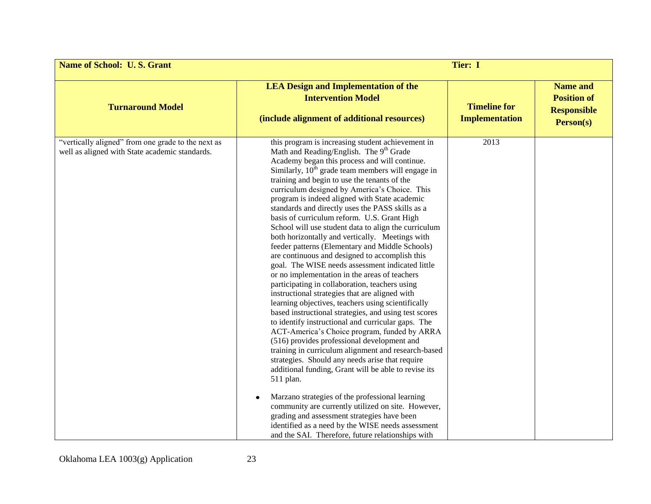| <b>Name of School: U.S. Grant</b>                                                                    | <b>Tier: I</b>                                                                                                                                                                                                                                                                                                                                                                                                                                                                                                                                                                                                                                                                                                                                                                                                                                                                                                                                                                                                                                                                                                                                                                                                                                                                                                                                                                                                                                                                                                                                                                                                      |                                              |                                                                          |
|------------------------------------------------------------------------------------------------------|---------------------------------------------------------------------------------------------------------------------------------------------------------------------------------------------------------------------------------------------------------------------------------------------------------------------------------------------------------------------------------------------------------------------------------------------------------------------------------------------------------------------------------------------------------------------------------------------------------------------------------------------------------------------------------------------------------------------------------------------------------------------------------------------------------------------------------------------------------------------------------------------------------------------------------------------------------------------------------------------------------------------------------------------------------------------------------------------------------------------------------------------------------------------------------------------------------------------------------------------------------------------------------------------------------------------------------------------------------------------------------------------------------------------------------------------------------------------------------------------------------------------------------------------------------------------------------------------------------------------|----------------------------------------------|--------------------------------------------------------------------------|
| <b>Turnaround Model</b>                                                                              | <b>LEA Design and Implementation of the</b><br><b>Intervention Model</b><br>(include alignment of additional resources)                                                                                                                                                                                                                                                                                                                                                                                                                                                                                                                                                                                                                                                                                                                                                                                                                                                                                                                                                                                                                                                                                                                                                                                                                                                                                                                                                                                                                                                                                             | <b>Timeline for</b><br><b>Implementation</b> | <b>Name and</b><br><b>Position of</b><br><b>Responsible</b><br>Person(s) |
| "vertically aligned" from one grade to the next as<br>well as aligned with State academic standards. | this program is increasing student achievement in<br>Math and Reading/English. The 9 <sup>th</sup> Grade<br>Academy began this process and will continue.<br>Similarly, $10th$ grade team members will engage in<br>training and begin to use the tenants of the<br>curriculum designed by America's Choice. This<br>program is indeed aligned with State academic<br>standards and directly uses the PASS skills as a<br>basis of curriculum reform. U.S. Grant High<br>School will use student data to align the curriculum<br>both horizontally and vertically. Meetings with<br>feeder patterns (Elementary and Middle Schools)<br>are continuous and designed to accomplish this<br>goal. The WISE needs assessment indicated little<br>or no implementation in the areas of teachers<br>participating in collaboration, teachers using<br>instructional strategies that are aligned with<br>learning objectives, teachers using scientifically<br>based instructional strategies, and using test scores<br>to identify instructional and curricular gaps. The<br>ACT-America's Choice program, funded by ARRA<br>(516) provides professional development and<br>training in curriculum alignment and research-based<br>strategies. Should any needs arise that require<br>additional funding, Grant will be able to revise its<br>511 plan.<br>Marzano strategies of the professional learning<br>community are currently utilized on site. However,<br>grading and assessment strategies have been<br>identified as a need by the WISE needs assessment<br>and the SAI. Therefore, future relationships with | 2013                                         |                                                                          |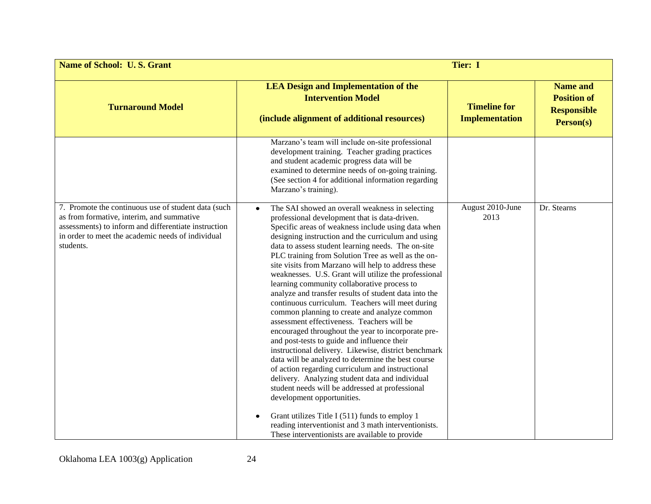| <b>Name of School: U.S. Grant</b>                                                                                                                                                                                          | Tier: I                                                                                                                                                                                                                                                                                                                                                                                                                                                                                                                                                                                                                                                                                                                                                                                                                                                                                                                                                                                                                                                                                                                                                                                                                                                                   |                                              |                                                                          |
|----------------------------------------------------------------------------------------------------------------------------------------------------------------------------------------------------------------------------|---------------------------------------------------------------------------------------------------------------------------------------------------------------------------------------------------------------------------------------------------------------------------------------------------------------------------------------------------------------------------------------------------------------------------------------------------------------------------------------------------------------------------------------------------------------------------------------------------------------------------------------------------------------------------------------------------------------------------------------------------------------------------------------------------------------------------------------------------------------------------------------------------------------------------------------------------------------------------------------------------------------------------------------------------------------------------------------------------------------------------------------------------------------------------------------------------------------------------------------------------------------------------|----------------------------------------------|--------------------------------------------------------------------------|
| <b>Turnaround Model</b>                                                                                                                                                                                                    | <b>LEA Design and Implementation of the</b><br><b>Intervention Model</b><br>(include alignment of additional resources)                                                                                                                                                                                                                                                                                                                                                                                                                                                                                                                                                                                                                                                                                                                                                                                                                                                                                                                                                                                                                                                                                                                                                   | <b>Timeline for</b><br><b>Implementation</b> | <b>Name and</b><br><b>Position of</b><br><b>Responsible</b><br>Person(s) |
|                                                                                                                                                                                                                            | Marzano's team will include on-site professional<br>development training. Teacher grading practices<br>and student academic progress data will be<br>examined to determine needs of on-going training.<br>(See section 4 for additional information regarding<br>Marzano's training).                                                                                                                                                                                                                                                                                                                                                                                                                                                                                                                                                                                                                                                                                                                                                                                                                                                                                                                                                                                     |                                              |                                                                          |
| 7. Promote the continuous use of student data (such<br>as from formative, interim, and summative<br>assessments) to inform and differentiate instruction<br>in order to meet the academic needs of individual<br>students. | The SAI showed an overall weakness in selecting<br>professional development that is data-driven.<br>Specific areas of weakness include using data when<br>designing instruction and the curriculum and using<br>data to assess student learning needs. The on-site<br>PLC training from Solution Tree as well as the on-<br>site visits from Marzano will help to address these<br>weaknesses. U.S. Grant will utilize the professional<br>learning community collaborative process to<br>analyze and transfer results of student data into the<br>continuous curriculum. Teachers will meet during<br>common planning to create and analyze common<br>assessment effectiveness. Teachers will be<br>encouraged throughout the year to incorporate pre-<br>and post-tests to guide and influence their<br>instructional delivery. Likewise, district benchmark<br>data will be analyzed to determine the best course<br>of action regarding curriculum and instructional<br>delivery. Analyzing student data and individual<br>student needs will be addressed at professional<br>development opportunities.<br>Grant utilizes Title I (511) funds to employ 1<br>reading interventionist and 3 math interventionists.<br>These interventionists are available to provide | August 2010-June<br>2013                     | Dr. Stearns                                                              |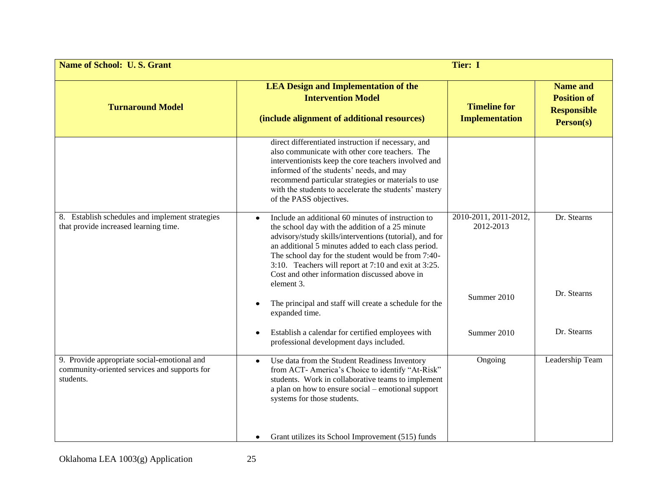| <b>Name of School: U.S. Grant</b>                                                                        | Tier: I                                                                                                                                                                                                                                                                                                                                                                                              |                                              |                                                                          |
|----------------------------------------------------------------------------------------------------------|------------------------------------------------------------------------------------------------------------------------------------------------------------------------------------------------------------------------------------------------------------------------------------------------------------------------------------------------------------------------------------------------------|----------------------------------------------|--------------------------------------------------------------------------|
| <b>Turnaround Model</b>                                                                                  | <b>LEA Design and Implementation of the</b><br><b>Intervention Model</b><br>(include alignment of additional resources)                                                                                                                                                                                                                                                                              | <b>Timeline for</b><br><b>Implementation</b> | <b>Name and</b><br><b>Position of</b><br><b>Responsible</b><br>Person(s) |
|                                                                                                          | direct differentiated instruction if necessary, and<br>also communicate with other core teachers. The<br>interventionists keep the core teachers involved and<br>informed of the students' needs, and may<br>recommend particular strategies or materials to use<br>with the students to accelerate the students' mastery<br>of the PASS objectives.                                                 |                                              |                                                                          |
| 8. Establish schedules and implement strategies<br>that provide increased learning time.                 | Include an additional 60 minutes of instruction to<br>the school day with the addition of a 25 minute<br>advisory/study skills/interventions (tutorial), and for<br>an additional 5 minutes added to each class period.<br>The school day for the student would be from 7:40-<br>3:10. Teachers will report at 7:10 and exit at 3:25.<br>Cost and other information discussed above in<br>element 3. | 2010-2011, 2011-2012,<br>2012-2013           | Dr. Stearns                                                              |
|                                                                                                          | The principal and staff will create a schedule for the<br>expanded time.                                                                                                                                                                                                                                                                                                                             | Summer 2010                                  | Dr. Stearns                                                              |
|                                                                                                          | Establish a calendar for certified employees with<br>professional development days included.                                                                                                                                                                                                                                                                                                         | Summer 2010                                  | Dr. Stearns                                                              |
| 9. Provide appropriate social-emotional and<br>community-oriented services and supports for<br>students. | Use data from the Student Readiness Inventory<br>$\bullet$<br>from ACT- America's Choice to identify "At-Risk"<br>students. Work in collaborative teams to implement<br>a plan on how to ensure social - emotional support<br>systems for those students.                                                                                                                                            | Ongoing                                      | Leadership Team                                                          |
|                                                                                                          | Grant utilizes its School Improvement (515) funds<br>$\bullet$                                                                                                                                                                                                                                                                                                                                       |                                              |                                                                          |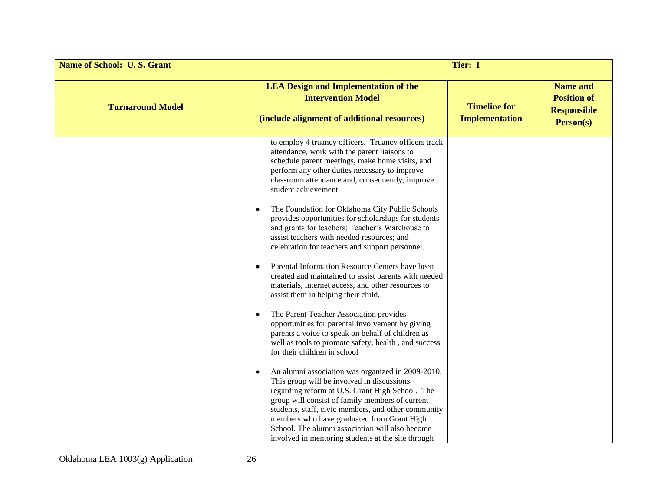| <b>Name of School: U.S. Grant</b> | <b>Tier: I</b>                                                                                                                                                                                                                                                                                                                                                                                                      |                                              |                                                                          |
|-----------------------------------|---------------------------------------------------------------------------------------------------------------------------------------------------------------------------------------------------------------------------------------------------------------------------------------------------------------------------------------------------------------------------------------------------------------------|----------------------------------------------|--------------------------------------------------------------------------|
| <b>Turnaround Model</b>           | <b>LEA Design and Implementation of the</b><br><b>Intervention Model</b><br>(include alignment of additional resources)                                                                                                                                                                                                                                                                                             | <b>Timeline for</b><br><b>Implementation</b> | <b>Name and</b><br><b>Position of</b><br><b>Responsible</b><br>Person(s) |
|                                   | to employ 4 truancy officers. Truancy officers track<br>attendance, work with the parent liaisons to<br>schedule parent meetings, make home visits, and<br>perform any other duties necessary to improve<br>classroom attendance and, consequently, improve<br>student achievement.                                                                                                                                 |                                              |                                                                          |
|                                   | The Foundation for Oklahoma City Public Schools<br>provides opportunities for scholarships for students<br>and grants for teachers; Teacher's Warehouse to<br>assist teachers with needed resources; and<br>celebration for teachers and support personnel.                                                                                                                                                         |                                              |                                                                          |
|                                   | Parental Information Resource Centers have been<br>created and maintained to assist parents with needed<br>materials, internet access, and other resources to<br>assist them in helping their child.                                                                                                                                                                                                                |                                              |                                                                          |
|                                   | The Parent Teacher Association provides<br>opportunities for parental involvement by giving<br>parents a voice to speak on behalf of children as<br>well as tools to promote safety, health, and success<br>for their children in school                                                                                                                                                                            |                                              |                                                                          |
|                                   | An alumni association was organized in 2009-2010.<br>This group will be involved in discussions<br>regarding reform at U.S. Grant High School. The<br>group will consist of family members of current<br>students, staff, civic members, and other community<br>members who have graduated from Grant High<br>School. The alumni association will also become<br>involved in mentoring students at the site through |                                              |                                                                          |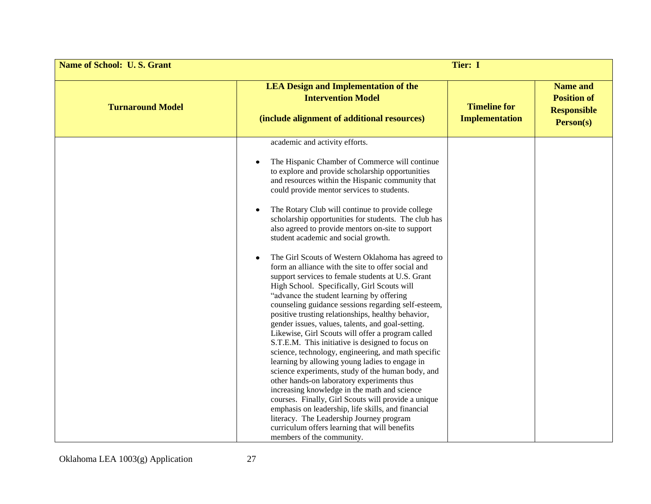| <b>Name of School: U.S. Grant</b> | Tier: I                                                                                                                                                                                                                                                                                                                                                                                                                                                                                                                                                                                                                                                                                                                                                                                                                                                                                                                                                                                                                                                                                                                                                                                                                                                                                                                                                                                                                                                                                  |                                              |                                                                                 |
|-----------------------------------|------------------------------------------------------------------------------------------------------------------------------------------------------------------------------------------------------------------------------------------------------------------------------------------------------------------------------------------------------------------------------------------------------------------------------------------------------------------------------------------------------------------------------------------------------------------------------------------------------------------------------------------------------------------------------------------------------------------------------------------------------------------------------------------------------------------------------------------------------------------------------------------------------------------------------------------------------------------------------------------------------------------------------------------------------------------------------------------------------------------------------------------------------------------------------------------------------------------------------------------------------------------------------------------------------------------------------------------------------------------------------------------------------------------------------------------------------------------------------------------|----------------------------------------------|---------------------------------------------------------------------------------|
| <b>Turnaround Model</b>           | <b>LEA Design and Implementation of the</b><br><b>Intervention Model</b><br>(include alignment of additional resources)                                                                                                                                                                                                                                                                                                                                                                                                                                                                                                                                                                                                                                                                                                                                                                                                                                                                                                                                                                                                                                                                                                                                                                                                                                                                                                                                                                  | <b>Timeline for</b><br><b>Implementation</b> | <b>Name and</b><br><b>Position of</b><br><b>Responsible</b><br><b>Person(s)</b> |
|                                   | academic and activity efforts.<br>The Hispanic Chamber of Commerce will continue<br>to explore and provide scholarship opportunities<br>and resources within the Hispanic community that<br>could provide mentor services to students.<br>The Rotary Club will continue to provide college<br>scholarship opportunities for students. The club has<br>also agreed to provide mentors on-site to support<br>student academic and social growth.<br>The Girl Scouts of Western Oklahoma has agreed to<br>form an alliance with the site to offer social and<br>support services to female students at U.S. Grant<br>High School. Specifically, Girl Scouts will<br>"advance the student learning by offering<br>counseling guidance sessions regarding self-esteem,<br>positive trusting relationships, healthy behavior,<br>gender issues, values, talents, and goal-setting.<br>Likewise, Girl Scouts will offer a program called<br>S.T.E.M. This initiative is designed to focus on<br>science, technology, engineering, and math specific<br>learning by allowing young ladies to engage in<br>science experiments, study of the human body, and<br>other hands-on laboratory experiments thus<br>increasing knowledge in the math and science<br>courses. Finally, Girl Scouts will provide a unique<br>emphasis on leadership, life skills, and financial<br>literacy. The Leadership Journey program<br>curriculum offers learning that will benefits<br>members of the community. |                                              |                                                                                 |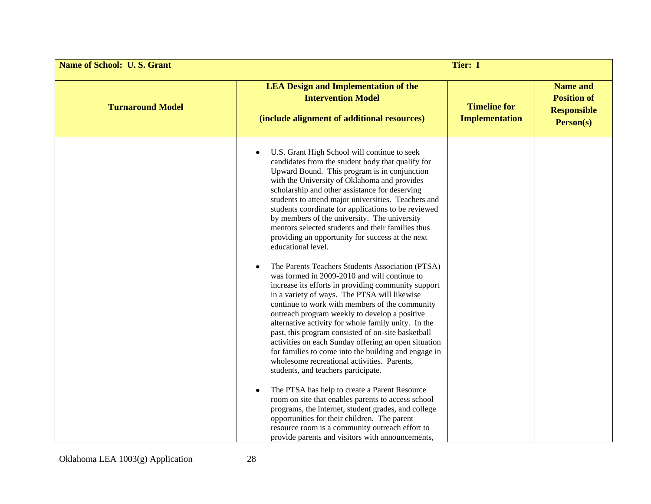| <b>Name of School: U.S. Grant</b> | Tier: I                                                                                                                                                                                                                                                                                                                                                                                                                                                                                                                                                                                                                                                                                                                                                                                                                                                                                                                                                                                                                                                                                                                                                                           |                                              |                                                                          |
|-----------------------------------|-----------------------------------------------------------------------------------------------------------------------------------------------------------------------------------------------------------------------------------------------------------------------------------------------------------------------------------------------------------------------------------------------------------------------------------------------------------------------------------------------------------------------------------------------------------------------------------------------------------------------------------------------------------------------------------------------------------------------------------------------------------------------------------------------------------------------------------------------------------------------------------------------------------------------------------------------------------------------------------------------------------------------------------------------------------------------------------------------------------------------------------------------------------------------------------|----------------------------------------------|--------------------------------------------------------------------------|
| <b>Turnaround Model</b>           | <b>LEA Design and Implementation of the</b><br><b>Intervention Model</b><br>(include alignment of additional resources)                                                                                                                                                                                                                                                                                                                                                                                                                                                                                                                                                                                                                                                                                                                                                                                                                                                                                                                                                                                                                                                           | <b>Timeline for</b><br><b>Implementation</b> | <b>Name and</b><br><b>Position of</b><br><b>Responsible</b><br>Person(s) |
|                                   | U.S. Grant High School will continue to seek<br>candidates from the student body that qualify for<br>Upward Bound. This program is in conjunction<br>with the University of Oklahoma and provides<br>scholarship and other assistance for deserving<br>students to attend major universities. Teachers and<br>students coordinate for applications to be reviewed<br>by members of the university. The university<br>mentors selected students and their families thus<br>providing an opportunity for success at the next<br>educational level.<br>The Parents Teachers Students Association (PTSA)<br>was formed in 2009-2010 and will continue to<br>increase its efforts in providing community support<br>in a variety of ways. The PTSA will likewise<br>continue to work with members of the community<br>outreach program weekly to develop a positive<br>alternative activity for whole family unity. In the<br>past, this program consisted of on-site basketball<br>activities on each Sunday offering an open situation<br>for families to come into the building and engage in<br>wholesome recreational activities. Parents,<br>students, and teachers participate. |                                              |                                                                          |
|                                   | The PTSA has help to create a Parent Resource<br>room on site that enables parents to access school<br>programs, the internet, student grades, and college<br>opportunities for their children. The parent<br>resource room is a community outreach effort to<br>provide parents and visitors with announcements,                                                                                                                                                                                                                                                                                                                                                                                                                                                                                                                                                                                                                                                                                                                                                                                                                                                                 |                                              |                                                                          |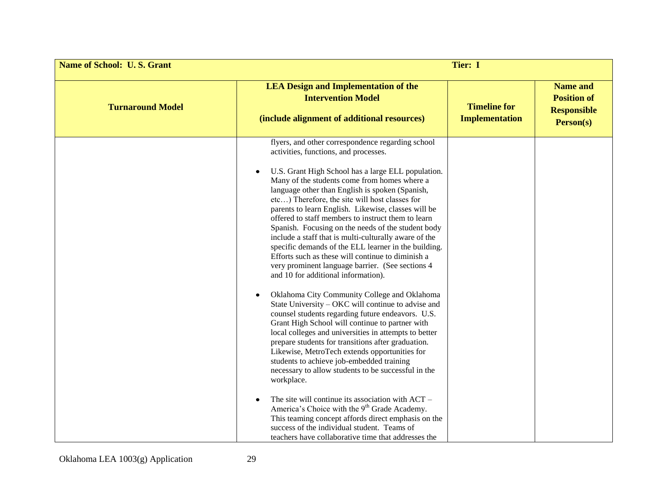| <b>Name of School: U.S. Grant</b> | <b>Tier: I</b>                                                                                                                                                                                                                                                                                                                                                                                                                                                                                                                                                                                                                                                                                                                                                                                                                                                                                                                                                                                                                                                                                                                                                                                                                                                                                 |                                              |                                                                          |
|-----------------------------------|------------------------------------------------------------------------------------------------------------------------------------------------------------------------------------------------------------------------------------------------------------------------------------------------------------------------------------------------------------------------------------------------------------------------------------------------------------------------------------------------------------------------------------------------------------------------------------------------------------------------------------------------------------------------------------------------------------------------------------------------------------------------------------------------------------------------------------------------------------------------------------------------------------------------------------------------------------------------------------------------------------------------------------------------------------------------------------------------------------------------------------------------------------------------------------------------------------------------------------------------------------------------------------------------|----------------------------------------------|--------------------------------------------------------------------------|
| <b>Turnaround Model</b>           | <b>LEA Design and Implementation of the</b><br><b>Intervention Model</b><br>(include alignment of additional resources)                                                                                                                                                                                                                                                                                                                                                                                                                                                                                                                                                                                                                                                                                                                                                                                                                                                                                                                                                                                                                                                                                                                                                                        | <b>Timeline for</b><br><b>Implementation</b> | <b>Name and</b><br><b>Position of</b><br><b>Responsible</b><br>Person(s) |
|                                   | flyers, and other correspondence regarding school<br>activities, functions, and processes.<br>U.S. Grant High School has a large ELL population.<br>Many of the students come from homes where a<br>language other than English is spoken (Spanish,<br>etc) Therefore, the site will host classes for<br>parents to learn English. Likewise, classes will be<br>offered to staff members to instruct them to learn<br>Spanish. Focusing on the needs of the student body<br>include a staff that is multi-culturally aware of the<br>specific demands of the ELL learner in the building.<br>Efforts such as these will continue to diminish a<br>very prominent language barrier. (See sections 4<br>and 10 for additional information).<br>Oklahoma City Community College and Oklahoma<br>State University – OKC will continue to advise and<br>counsel students regarding future endeavors. U.S.<br>Grant High School will continue to partner with<br>local colleges and universities in attempts to better<br>prepare students for transitions after graduation.<br>Likewise, MetroTech extends opportunities for<br>students to achieve job-embedded training<br>necessary to allow students to be successful in the<br>workplace.<br>The site will continue its association with ACT - |                                              |                                                                          |
|                                   | America's Choice with the 9 <sup>th</sup> Grade Academy.<br>This teaming concept affords direct emphasis on the<br>success of the individual student. Teams of<br>teachers have collaborative time that addresses the                                                                                                                                                                                                                                                                                                                                                                                                                                                                                                                                                                                                                                                                                                                                                                                                                                                                                                                                                                                                                                                                          |                                              |                                                                          |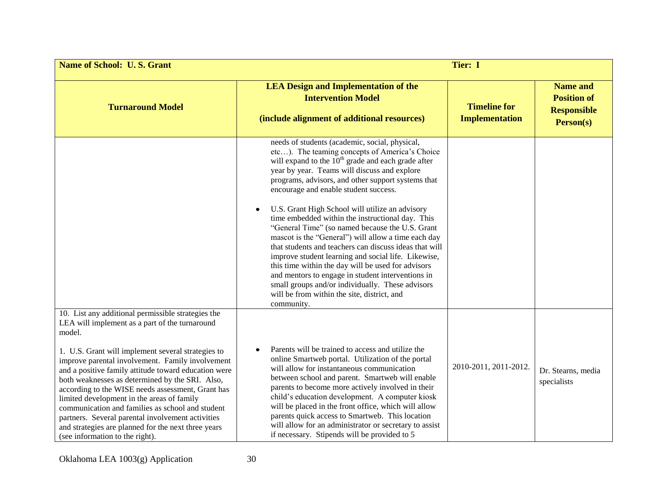| <b>Name of School: U.S. Grant</b>                                                                                                                                                                                                                                                                                                                                                                                                                                                                                                                                                                                                         | Tier: I                                                                                                                                                                                                                                                                                                                                                                                                                                                                                                                                                                                                                                                                                                                                                                                                                                                               |                                              |                                                                          |
|-------------------------------------------------------------------------------------------------------------------------------------------------------------------------------------------------------------------------------------------------------------------------------------------------------------------------------------------------------------------------------------------------------------------------------------------------------------------------------------------------------------------------------------------------------------------------------------------------------------------------------------------|-----------------------------------------------------------------------------------------------------------------------------------------------------------------------------------------------------------------------------------------------------------------------------------------------------------------------------------------------------------------------------------------------------------------------------------------------------------------------------------------------------------------------------------------------------------------------------------------------------------------------------------------------------------------------------------------------------------------------------------------------------------------------------------------------------------------------------------------------------------------------|----------------------------------------------|--------------------------------------------------------------------------|
| <b>Turnaround Model</b>                                                                                                                                                                                                                                                                                                                                                                                                                                                                                                                                                                                                                   | <b>LEA Design and Implementation of the</b><br><b>Intervention Model</b><br>(include alignment of additional resources)                                                                                                                                                                                                                                                                                                                                                                                                                                                                                                                                                                                                                                                                                                                                               | <b>Timeline for</b><br><b>Implementation</b> | <b>Name and</b><br><b>Position of</b><br><b>Responsible</b><br>Person(s) |
|                                                                                                                                                                                                                                                                                                                                                                                                                                                                                                                                                                                                                                           | needs of students (academic, social, physical,<br>etc). The teaming concepts of America's Choice<br>will expand to the $10th$ grade and each grade after<br>year by year. Teams will discuss and explore<br>programs, advisors, and other support systems that<br>encourage and enable student success.<br>U.S. Grant High School will utilize an advisory<br>time embedded within the instructional day. This<br>"General Time" (so named because the U.S. Grant<br>mascot is the "General") will allow a time each day<br>that students and teachers can discuss ideas that will<br>improve student learning and social life. Likewise,<br>this time within the day will be used for advisors<br>and mentors to engage in student interventions in<br>small groups and/or individually. These advisors<br>will be from within the site, district, and<br>community. |                                              |                                                                          |
| 10. List any additional permissible strategies the<br>LEA will implement as a part of the turnaround<br>model.<br>1. U.S. Grant will implement several strategies to<br>improve parental involvement. Family involvement<br>and a positive family attitude toward education were<br>both weaknesses as determined by the SRI. Also,<br>according to the WISE needs assessment, Grant has<br>limited development in the areas of family<br>communication and families as school and student<br>partners. Several parental involvement activities<br>and strategies are planned for the next three years<br>(see information to the right). | Parents will be trained to access and utilize the<br>online Smartweb portal. Utilization of the portal<br>will allow for instantaneous communication<br>between school and parent. Smartweb will enable<br>parents to become more actively involved in their<br>child's education development. A computer kiosk<br>will be placed in the front office, which will allow<br>parents quick access to Smartweb. This location<br>will allow for an administrator or secretary to assist<br>if necessary. Stipends will be provided to 5                                                                                                                                                                                                                                                                                                                                  | 2010-2011, 2011-2012.                        | Dr. Stearns, media<br>specialists                                        |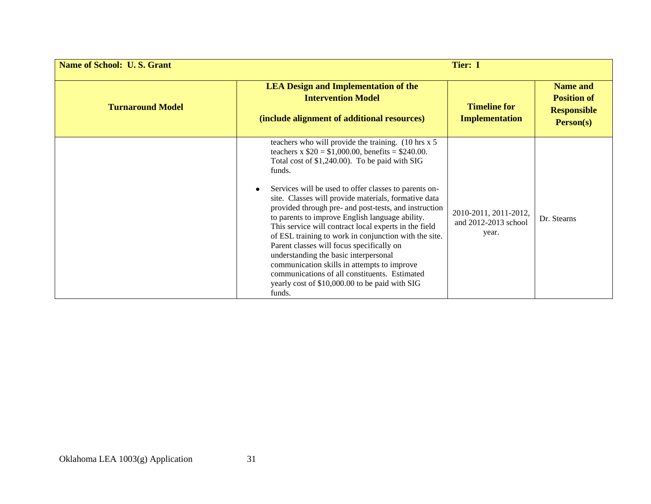| <b>Name of School: U.S. Grant</b> |                                                                                                                                                                                                                                                                                                                                                                                                                                                                                                                                                                                                                                                                                                                                                                          | <b>Tier: I</b>                                         |                                                                                 |
|-----------------------------------|--------------------------------------------------------------------------------------------------------------------------------------------------------------------------------------------------------------------------------------------------------------------------------------------------------------------------------------------------------------------------------------------------------------------------------------------------------------------------------------------------------------------------------------------------------------------------------------------------------------------------------------------------------------------------------------------------------------------------------------------------------------------------|--------------------------------------------------------|---------------------------------------------------------------------------------|
| <b>Turnaround Model</b>           | <b>LEA Design and Implementation of the</b><br><b>Intervention Model</b><br>(include alignment of additional resources)                                                                                                                                                                                                                                                                                                                                                                                                                                                                                                                                                                                                                                                  | <b>Timeline for</b><br><b>Implementation</b>           | <b>Name and</b><br><b>Position of</b><br><b>Responsible</b><br><b>Person(s)</b> |
|                                   | teachers who will provide the training. (10 hrs x 5)<br>teachers x $$20 = $1,000.00$ , benefits = \$240.00.<br>Total cost of \$1,240.00). To be paid with SIG<br>funds.<br>Services will be used to offer classes to parents on-<br>site. Classes will provide materials, formative data<br>provided through pre- and post-tests, and instruction<br>to parents to improve English language ability.<br>This service will contract local experts in the field<br>of ESL training to work in conjunction with the site.<br>Parent classes will focus specifically on<br>understanding the basic interpersonal<br>communication skills in attempts to improve<br>communications of all constituents. Estimated<br>yearly cost of \$10,000.00 to be paid with SIG<br>funds. | 2010-2011, 2011-2012,<br>and 2012-2013 school<br>year. | Dr. Stearns                                                                     |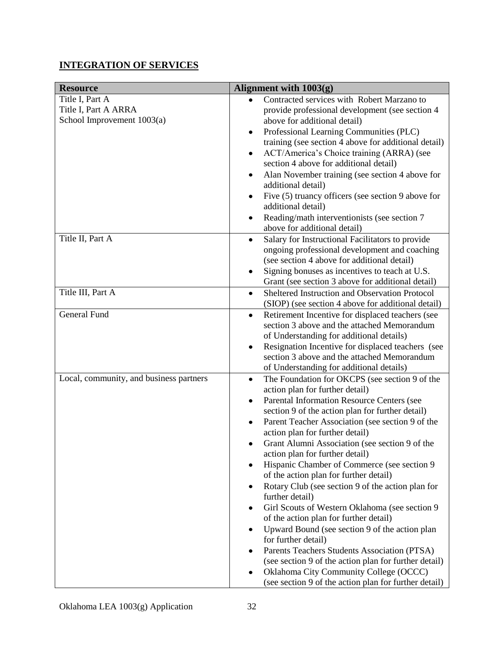# **INTEGRATION OF SERVICES**

| <b>Resource</b>                         | Alignment with 1003(g)                                        |  |
|-----------------------------------------|---------------------------------------------------------------|--|
| Title I, Part A                         | Contracted services with Robert Marzano to                    |  |
| Title I, Part A ARRA                    | provide professional development (see section 4               |  |
| School Improvement 1003(a)              | above for additional detail)                                  |  |
|                                         | Professional Learning Communities (PLC)<br>٠                  |  |
|                                         | training (see section 4 above for additional detail)          |  |
|                                         | ACT/America's Choice training (ARRA) (see                     |  |
|                                         | section 4 above for additional detail)                        |  |
|                                         | Alan November training (see section 4 above for<br>٠          |  |
|                                         | additional detail)                                            |  |
|                                         | Five (5) truancy officers (see section 9 above for<br>٠       |  |
|                                         | additional detail)                                            |  |
|                                         | Reading/math interventionists (see section 7                  |  |
|                                         | above for additional detail)                                  |  |
| Title II, Part A                        | Salary for Instructional Facilitators to provide<br>٠         |  |
|                                         | ongoing professional development and coaching                 |  |
|                                         | (see section 4 above for additional detail)                   |  |
|                                         | Signing bonuses as incentives to teach at U.S.                |  |
|                                         | Grant (see section 3 above for additional detail)             |  |
| Title III, Part A                       | Sheltered Instruction and Observation Protocol<br>$\bullet$   |  |
|                                         | (SIOP) (see section 4 above for additional detail)            |  |
| General Fund                            | Retirement Incentive for displaced teachers (see<br>$\bullet$ |  |
|                                         | section 3 above and the attached Memorandum                   |  |
|                                         | of Understanding for additional details)                      |  |
|                                         | Resignation Incentive for displaced teachers (see             |  |
|                                         | section 3 above and the attached Memorandum                   |  |
|                                         | of Understanding for additional details)                      |  |
| Local, community, and business partners | The Foundation for OKCPS (see section 9 of the<br>$\bullet$   |  |
|                                         | action plan for further detail)                               |  |
|                                         | Parental Information Resource Centers (see<br>٠               |  |
|                                         | section 9 of the action plan for further detail)              |  |
|                                         | Parent Teacher Association (see section 9 of the<br>٠         |  |
|                                         | action plan for further detail)                               |  |
|                                         | Grant Alumni Association (see section 9 of the                |  |
|                                         | action plan for further detail)                               |  |
|                                         | Hispanic Chamber of Commerce (see section 9                   |  |
|                                         | of the action plan for further detail)                        |  |
|                                         | Rotary Club (see section 9 of the action plan for<br>٠        |  |
|                                         | further detail)                                               |  |
|                                         | Girl Scouts of Western Oklahoma (see section 9<br>٠           |  |
|                                         | of the action plan for further detail)                        |  |
|                                         | Upward Bound (see section 9 of the action plan                |  |
|                                         | for further detail)                                           |  |
|                                         | Parents Teachers Students Association (PTSA)                  |  |
|                                         | (see section 9 of the action plan for further detail)         |  |
|                                         | Oklahoma City Community College (OCCC)                        |  |
|                                         | (see section 9 of the action plan for further detail)         |  |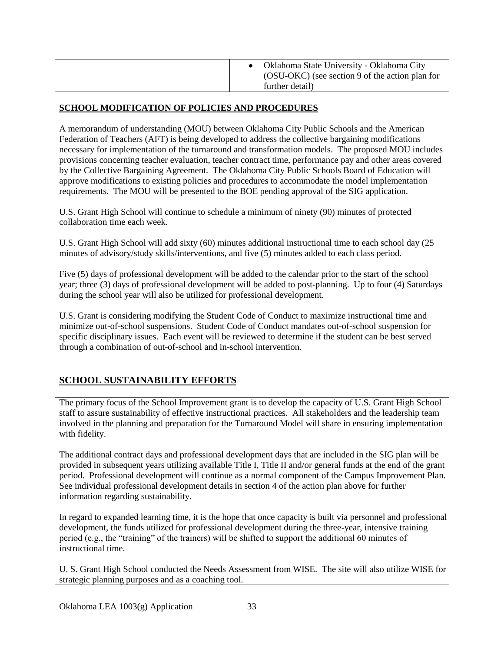| Oklahoma State University - Oklahoma City<br>(OSU-OKC) (see section 9 of the action plan for<br>further detail) |
|-----------------------------------------------------------------------------------------------------------------|
|-----------------------------------------------------------------------------------------------------------------|

### **SCHOOL MODIFICATION OF POLICIES AND PROCEDURES**

A memorandum of understanding (MOU) between Oklahoma City Public Schools and the American Federation of Teachers (AFT) is being developed to address the collective bargaining modifications necessary for implementation of the turnaround and transformation models. The proposed MOU includes provisions concerning teacher evaluation, teacher contract time, performance pay and other areas covered by the Collective Bargaining Agreement. The Oklahoma City Public Schools Board of Education will approve modifications to existing policies and procedures to accommodate the model implementation requirements. The MOU will be presented to the BOE pending approval of the SIG application.

U.S. Grant High School will continue to schedule a minimum of ninety (90) minutes of protected collaboration time each week.

U.S. Grant High School will add sixty (60) minutes additional instructional time to each school day (25 minutes of advisory/study skills/interventions, and five (5) minutes added to each class period.

Five (5) days of professional development will be added to the calendar prior to the start of the school year; three (3) days of professional development will be added to post-planning. Up to four (4) Saturdays during the school year will also be utilized for professional development.

U.S. Grant is considering modifying the Student Code of Conduct to maximize instructional time and minimize out-of-school suspensions. Student Code of Conduct mandates out-of-school suspension for specific disciplinary issues. Each event will be reviewed to determine if the student can be best served through a combination of out-of-school and in-school intervention.

# **SCHOOL SUSTAINABILITY EFFORTS**

The primary focus of the School Improvement grant is to develop the capacity of U.S. Grant High School staff to assure sustainability of effective instructional practices. All stakeholders and the leadership team involved in the planning and preparation for the Turnaround Model will share in ensuring implementation with fidelity.

The additional contract days and professional development days that are included in the SIG plan will be provided in subsequent years utilizing available Title I, Title II and/or general funds at the end of the grant period. Professional development will continue as a normal component of the Campus Improvement Plan. See individual professional development details in section 4 of the action plan above for further information regarding sustainability.

In regard to expanded learning time, it is the hope that once capacity is built via personnel and professional development, the funds utilized for professional development during the three-year, intensive training period (e.g., the "training" of the trainers) will be shifted to support the additional 60 minutes of instructional time.

U. S. Grant High School conducted the Needs Assessment from WISE. The site will also utilize WISE for strategic planning purposes and as a coaching tool.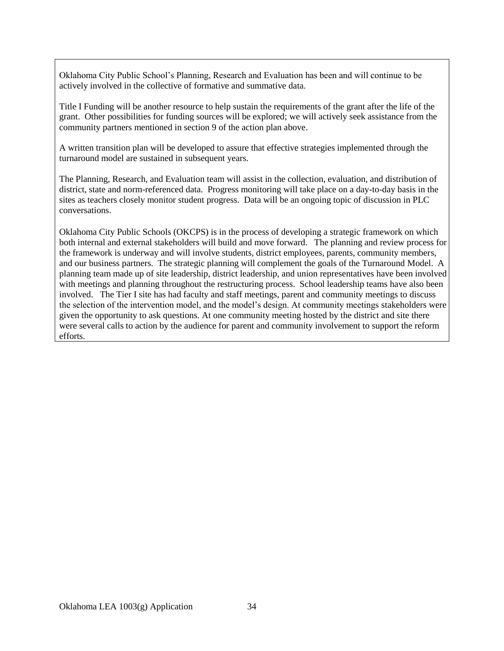Oklahoma City Public School's Planning, Research and Evaluation has been and will continue to be actively involved in the collective of formative and summative data.

Title I Funding will be another resource to help sustain the requirements of the grant after the life of the grant. Other possibilities for funding sources will be explored; we will actively seek assistance from the community partners mentioned in section 9 of the action plan above.

A written transition plan will be developed to assure that effective strategies implemented through the turnaround model are sustained in subsequent years.

The Planning, Research, and Evaluation team will assist in the collection, evaluation, and distribution of district, state and norm-referenced data. Progress monitoring will take place on a day-to-day basis in the sites as teachers closely monitor student progress. Data will be an ongoing topic of discussion in PLC conversations.

Oklahoma City Public Schools (OKCPS) is in the process of developing a strategic framework on which both internal and external stakeholders will build and move forward. The planning and review process for the framework is underway and will involve students, district employees, parents, community members, and our business partners. The strategic planning will complement the goals of the Turnaround Model. A planning team made up of site leadership, district leadership, and union representatives have been involved with meetings and planning throughout the restructuring process. School leadership teams have also been involved. The Tier I site has had faculty and staff meetings, parent and community meetings to discuss the selection of the intervention model, and the model's design. At community meetings stakeholders were given the opportunity to ask questions. At one community meeting hosted by the district and site there were several calls to action by the audience for parent and community involvement to support the reform efforts.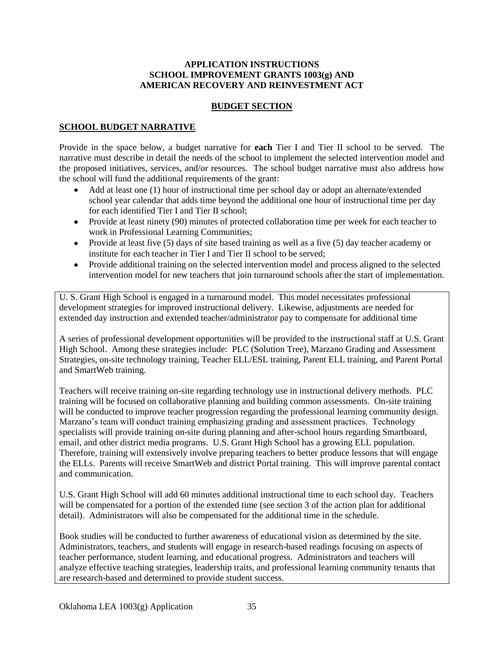#### **APPLICATION INSTRUCTIONS SCHOOL IMPROVEMENT GRANTS 1003(g) AND AMERICAN RECOVERY AND REINVESTMENT ACT**

#### **BUDGET SECTION**

#### **SCHOOL BUDGET NARRATIVE**

Provide in the space below, a budget narrative for **each** Tier I and Tier II school to be served. The narrative must describe in detail the needs of the school to implement the selected intervention model and the proposed initiatives, services, and/or resources. The school budget narrative must also address how the school will fund the additional requirements of the grant:

- Add at least one (1) hour of instructional time per school day or adopt an alternate/extended school year calendar that adds time beyond the additional one hour of instructional time per day for each identified Tier I and Tier II school;
- Provide at least ninety (90) minutes of protected collaboration time per week for each teacher to work in Professional Learning Communities;
- Provide at least five (5) days of site based training as well as a five (5) day teacher academy or institute for each teacher in Tier I and Tier II school to be served;
- Provide additional training on the selected intervention model and process aligned to the selected intervention model for new teachers that join turnaround schools after the start of implementation.

U. S. Grant High School is engaged in a turnaround model. This model necessitates professional development strategies for improved instructional delivery. Likewise, adjustments are needed for extended day instruction and extended teacher/administrator pay to compensate for additional time

A series of professional development opportunities will be provided to the instructional staff at U.S. Grant High School. Among these strategies include: PLC (Solution Tree), Marzano Grading and Assessment Strategies, on-site technology training, Teacher ELL/ESL training, Parent ELL training, and Parent Portal and SmartWeb training.

Teachers will receive training on-site regarding technology use in instructional delivery methods. PLC training will be focused on collaborative planning and building common assessments. On-site training will be conducted to improve teacher progression regarding the professional learning community design. Marzano's team will conduct training emphasizing grading and assessment practices. Technology specialists will provide training on-site during planning and after-school hours regarding Smartboard, email, and other district media programs. U.S. Grant High School has a growing ELL population. Therefore, training will extensively involve preparing teachers to better produce lessons that will engage the ELLs. Parents will receive SmartWeb and district Portal training. This will improve parental contact and communication.

U.S. Grant High School will add 60 minutes additional instructional time to each school day. Teachers will be compensated for a portion of the extended time (see section 3 of the action plan for additional detail). Administrators will also be compensated for the additional time in the schedule.

Book studies will be conducted to further awareness of educational vision as determined by the site. Administrators, teachers, and students will engage in research-based readings focusing on aspects of teacher performance, student learning, and educational progress. Administrators and teachers will analyze effective teaching strategies, leadership traits, and professional learning community tenants that are research-based and determined to provide student success.